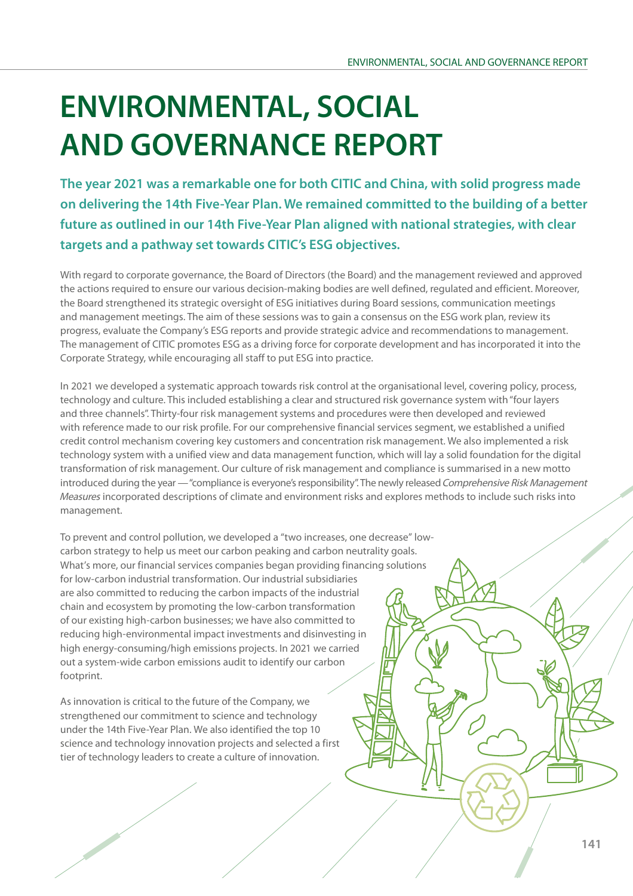# **ENVIRONMENTAL, SOCIAL AND GOVERNANCE REPORT**

**The year 2021 was a remarkable one for both CITIC and China, with solid progress made on delivering the 14th Five-Year Plan. We remained committed to the building of a better future as outlined in our 14th Five-Year Plan aligned with national strategies, with clear targets and a pathway set towards CITIC's ESG objectives.**

With regard to corporate governance, the Board of Directors (the Board) and the management reviewed and approved the actions required to ensure our various decision-making bodies are well defined, regulated and efficient. Moreover, the Board strengthened its strategic oversight of ESG initiatives during Board sessions, communication meetings and management meetings. The aim of these sessions was to gain a consensus on the ESG work plan, review its progress, evaluate the Company's ESG reports and provide strategic advice and recommendations to management. The management of CITIC promotes ESG as a driving force for corporate development and has incorporated it into the Corporate Strategy, while encouraging all staff to put ESG into practice.

In 2021 we developed a systematic approach towards risk control at the organisational level, covering policy, process, technology and culture. This included establishing a clear and structured risk governance system with "four layers and three channels". Thirty-four risk management systems and procedures were then developed and reviewed with reference made to our risk profile. For our comprehensive financial services segment, we established a unified credit control mechanism covering key customers and concentration risk management. We also implemented a risk technology system with a unified view and data management function, which will lay a solid foundation for the digital transformation of risk management. Our culture of risk management and compliance is summarised in a new motto introduced during the year — "compliance is everyone's responsibility". The newly released Comprehensive Risk Management Measures incorporated descriptions of climate and environment risks and explores methods to include such risks into management.

To prevent and control pollution, we developed a "two increases, one decrease" lowcarbon strategy to help us meet our carbon peaking and carbon neutrality goals. What's more, our financial services companies began providing financing solutions for low-carbon industrial transformation. Our industrial subsidiaries are also committed to reducing the carbon impacts of the industrial chain and ecosystem by promoting the low-carbon transformation of our existing high-carbon businesses; we have also committed to reducing high-environmental impact investments and disinvesting in high energy-consuming/high emissions projects. In 2021 we carried out a system-wide carbon emissions audit to identify our carbon footprint.

As innovation is critical to the future of the Company, we strengthened our commitment to science and technology under the 14th Five-Year Plan. We also identified the top 10 science and technology innovation projects and selected a first tier of technology leaders to create a culture of innovation.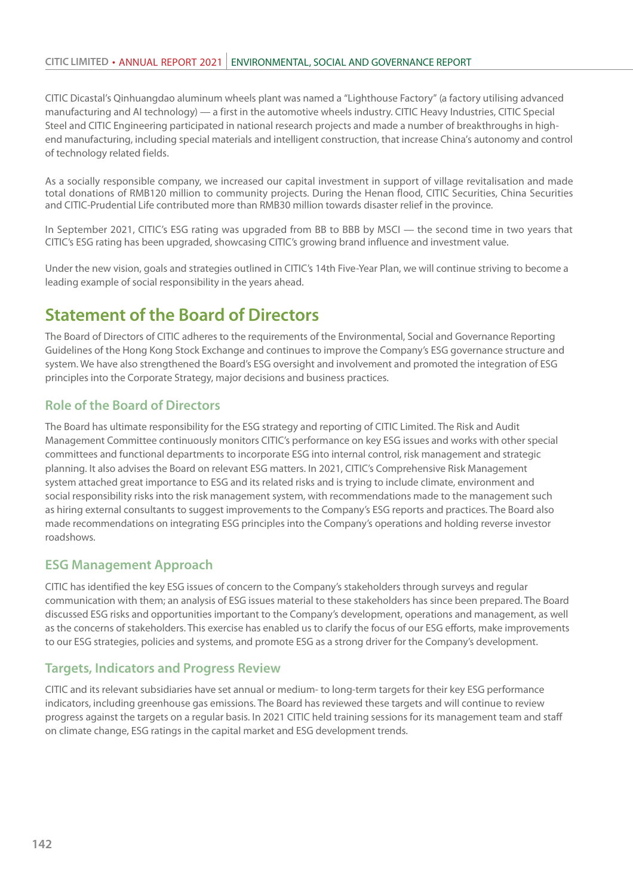CITIC Dicastal's Qinhuangdao aluminum wheels plant was named a "Lighthouse Factory" (a factory utilising advanced manufacturing and AI technology) — a first in the automotive wheels industry. CITIC Heavy Industries, CITIC Special Steel and CITIC Engineering participated in national research projects and made a number of breakthroughs in highend manufacturing, including special materials and intelligent construction, that increase China's autonomy and control of technology related fields.

As a socially responsible company, we increased our capital investment in support of village revitalisation and made total donations of RMB120 million to community projects. During the Henan flood, CITIC Securities, China Securities and CITIC-Prudential Life contributed more than RMB30 million towards disaster relief in the province.

In September 2021, CITIC's ESG rating was upgraded from BB to BBB by MSCI — the second time in two years that CITIC's ESG rating has been upgraded, showcasing CITIC's growing brand influence and investment value.

Under the new vision, goals and strategies outlined in CITIC's 14th Five-Year Plan, we will continue striving to become a leading example of social responsibility in the years ahead.

# **Statement of the Board of Directors**

The Board of Directors of CITIC adheres to the requirements of the Environmental, Social and Governance Reporting Guidelines of the Hong Kong Stock Exchange and continues to improve the Company's ESG governance structure and system. We have also strengthened the Board's ESG oversight and involvement and promoted the integration of ESG principles into the Corporate Strategy, major decisions and business practices.

### **Role of the Board of Directors**

The Board has ultimate responsibility for the ESG strategy and reporting of CITIC Limited. The Risk and Audit Management Committee continuously monitors CITIC's performance on key ESG issues and works with other special committees and functional departments to incorporate ESG into internal control, risk management and strategic planning. It also advises the Board on relevant ESG matters. In 2021, CITIC's Comprehensive Risk Management system attached great importance to ESG and its related risks and is trying to include climate, environment and social responsibility risks into the risk management system, with recommendations made to the management such as hiring external consultants to suggest improvements to the Company's ESG reports and practices. The Board also made recommendations on integrating ESG principles into the Company's operations and holding reverse investor roadshows.

### **ESG Management Approach**

CITIC has identified the key ESG issues of concern to the Company's stakeholders through surveys and regular communication with them; an analysis of ESG issues material to these stakeholders has since been prepared. The Board discussed ESG risks and opportunities important to the Company's development, operations and management, as well as the concerns of stakeholders. This exercise has enabled us to clarify the focus of our ESG efforts, make improvements to our ESG strategies, policies and systems, and promote ESG as a strong driver for the Company's development.

### **Targets, Indicators and Progress Review**

CITIC and its relevant subsidiaries have set annual or medium- to long-term targets for their key ESG performance indicators, including greenhouse gas emissions. The Board has reviewed these targets and will continue to review progress against the targets on a regular basis. In 2021 CITIC held training sessions for its management team and staff on climate change, ESG ratings in the capital market and ESG development trends.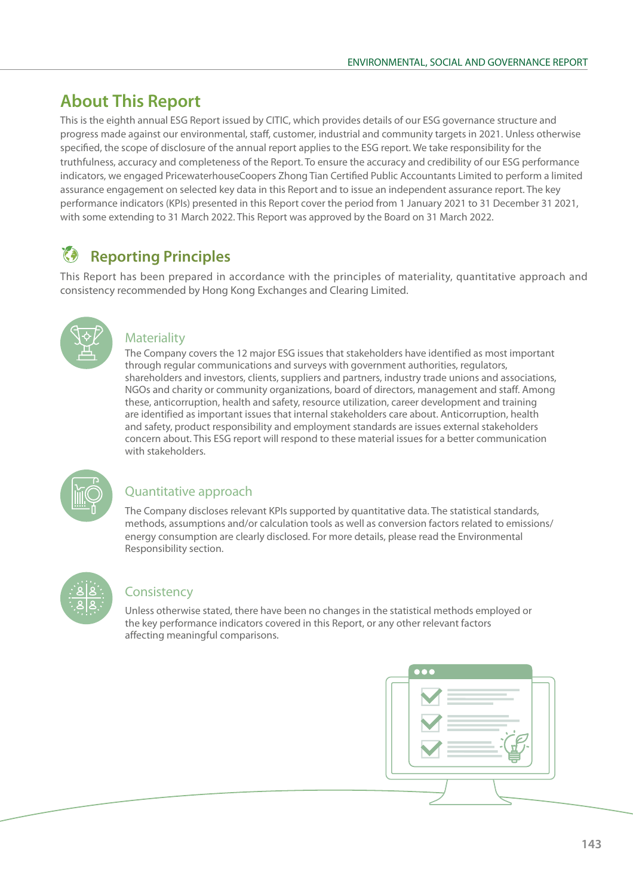# **About This Report**

This is the eighth annual ESG Report issued by CITIC, which provides details of our ESG governance structure and progress made against our environmental, staff, customer, industrial and community targets in 2021. Unless otherwise specified, the scope of disclosure of the annual report applies to the ESG report. We take responsibility for the truthfulness, accuracy and completeness of the Report. To ensure the accuracy and credibility of our ESG performance indicators, we engaged PricewaterhouseCoopers Zhong Tian Certified Public Accountants Limited to perform a limited assurance engagement on selected key data in this Report and to issue an independent assurance report. The key performance indicators (KPIs) presented in this Report cover the period from 1 January 2021 to 31 December 31 2021, with some extending to 31 March 2022. This Report was approved by the Board on 31 March 2022.

# **Reporting Principles**

This Report has been prepared in accordance with the principles of materiality, quantitative approach and consistency recommended by Hong Kong Exchanges and Clearing Limited.



### **Materiality**

The Company covers the 12 major ESG issues that stakeholders have identified as most important through regular communications and surveys with government authorities, regulators, shareholders and investors, clients, suppliers and partners, industry trade unions and associations, NGOs and charity or community organizations, board of directors, management and staff. Among these, anticorruption, health and safety, resource utilization, career development and training are identified as important issues that internal stakeholders care about. Anticorruption, health and safety, product responsibility and employment standards are issues external stakeholders concern about. This ESG report will respond to these material issues for a better communication with stakeholders.



### Quantitative approach

The Company discloses relevant KPIs supported by quantitative data. The statistical standards, methods, assumptions and/or calculation tools as well as conversion factors related to emissions/ energy consumption are clearly disclosed. For more details, please read the Environmental Responsibility section.



### **Consistency**

Unless otherwise stated, there have been no changes in the statistical methods employed or the key performance indicators covered in this Report, or any other relevant factors affecting meaningful comparisons.

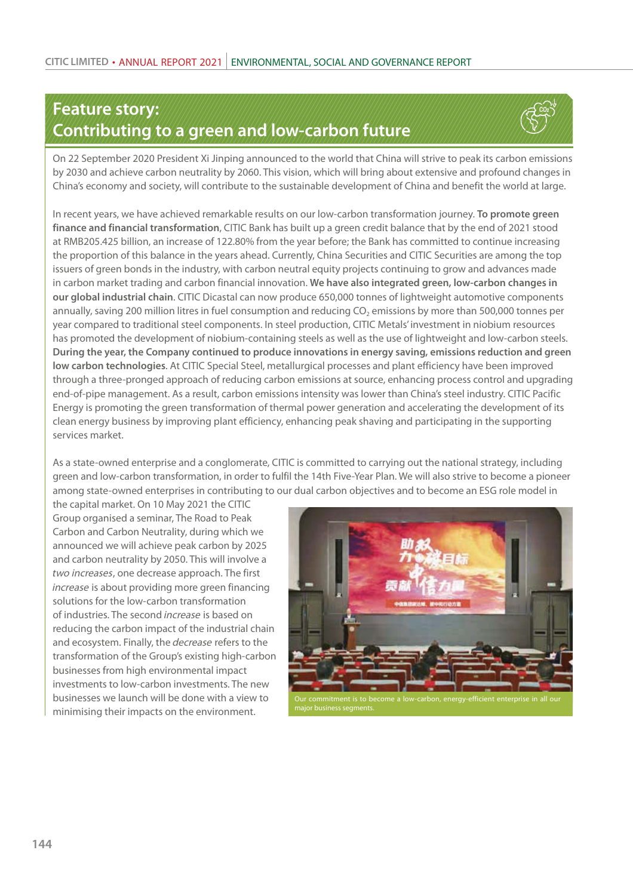# **Feature story: Contributing to a green and low-carbon future**



On 22 September 2020 President Xi Jinping announced to the world that China will strive to peak its carbon emissions by 2030 and achieve carbon neutrality by 2060. This vision, which will bring about extensive and profound changes in China's economy and society, will contribute to the sustainable development of China and benefit the world at large.

In recent years, we have achieved remarkable results on our low-carbon transformation journey. **To promote green finance and financial transformation**, CITIC Bank has built up a green credit balance that by the end of 2021 stood at RMB205.425 billion, an increase of 122.80% from the year before; the Bank has committed to continue increasing the proportion of this balance in the years ahead. Currently, China Securities and CITIC Securities are among the top issuers of green bonds in the industry, with carbon neutral equity projects continuing to grow and advances made in carbon market trading and carbon financial innovation. **We have also integrated green, low-carbon changes in our global industrial chain**. CITIC Dicastal can now produce 650,000 tonnes of lightweight automotive components annually, saving 200 million litres in fuel consumption and reducing CO<sub>2</sub> emissions by more than 500,000 tonnes per year compared to traditional steel components. In steel production, CITIC Metals' investment in niobium resources has promoted the development of niobium-containing steels as well as the use of lightweight and low-carbon steels. **During the year, the Company continued to produce innovations in energy saving, emissions reduction and green low carbon technologies**. At CITIC Special Steel, metallurgical processes and plant efficiency have been improved through a three-pronged approach of reducing carbon emissions at source, enhancing process control and upgrading end-of-pipe management. As a result, carbon emissions intensity was lower than China's steel industry. CITIC Pacific Energy is promoting the green transformation of thermal power generation and accelerating the development of its clean energy business by improving plant efficiency, enhancing peak shaving and participating in the supporting services market.

As a state-owned enterprise and a conglomerate, CITIC is committed to carrying out the national strategy, including green and low-carbon transformation, in order to fulfil the 14th Five-Year Plan. We will also strive to become a pioneer among state-owned enterprises in contributing to our dual carbon objectives and to become an ESG role model in

the capital market. On 10 May 2021 the CITIC Group organised a seminar, The Road to Peak Carbon and Carbon Neutrality, during which we announced we will achieve peak carbon by 2025 and carbon neutrality by 2050. This will involve a two increases, one decrease approach. The first increase is about providing more green financing solutions for the low-carbon transformation of industries. The second increase is based on reducing the carbon impact of the industrial chain and ecosystem. Finally, the decrease refers to the transformation of the Group's existing high-carbon businesses from high environmental impact investments to low-carbon investments. The new businesses we launch will be done with a view to minimising their impacts on the environment.



major business segments.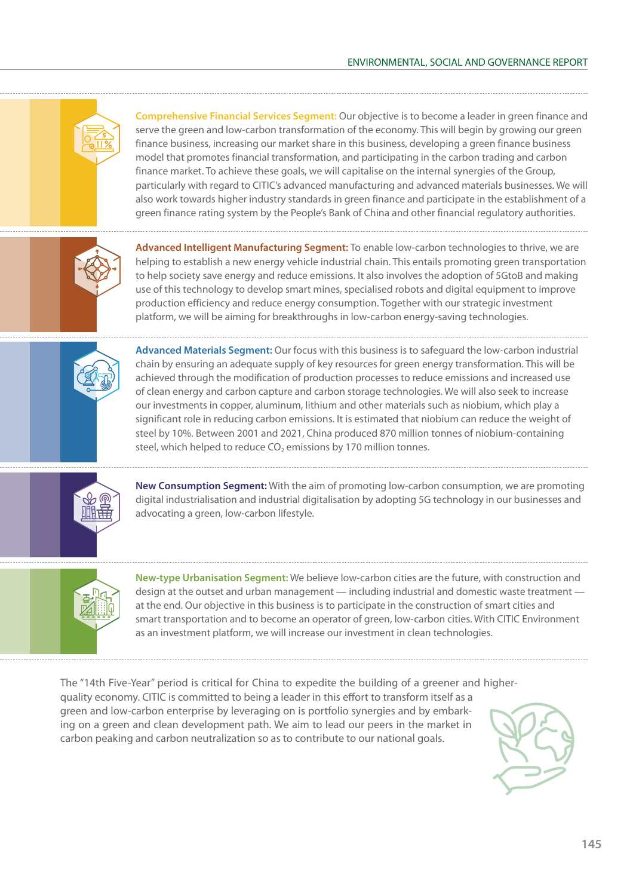

**Comprehensive Financial Services Segment:** Our objective is to become a leader in green finance and serve the green and low-carbon transformation of the economy. This will begin by growing our green finance business, increasing our market share in this business, developing a green finance business model that promotes financial transformation, and participating in the carbon trading and carbon finance market. To achieve these goals, we will capitalise on the internal synergies of the Group, particularly with regard to CITIC's advanced manufacturing and advanced materials businesses. We will also work towards higher industry standards in green finance and participate in the establishment of a green finance rating system by the People's Bank of China and other financial regulatory authorities.



**Advanced Intelligent Manufacturing Segment:** To enable low-carbon technologies to thrive, we are helping to establish a new energy vehicle industrial chain. This entails promoting green transportation to help society save energy and reduce emissions. It also involves the adoption of 5GtoB and making use of this technology to develop smart mines, specialised robots and digital equipment to improve production efficiency and reduce energy consumption. Together with our strategic investment platform, we will be aiming for breakthroughs in low-carbon energy-saving technologies.



**Advanced Materials Segment:** Our focus with this business is to safeguard the low-carbon industrial chain by ensuring an adequate supply of key resources for green energy transformation. This will be achieved through the modification of production processes to reduce emissions and increased use of clean energy and carbon capture and carbon storage technologies. We will also seek to increase our investments in copper, aluminum, lithium and other materials such as niobium, which play a significant role in reducing carbon emissions. It is estimated that niobium can reduce the weight of steel by 10%. Between 2001 and 2021, China produced 870 million tonnes of niobium-containing steel, which helped to reduce  $CO<sub>2</sub>$  emissions by 170 million tonnes.



**New Consumption Segment:** With the aim of promoting low-carbon consumption, we are promoting digital industrialisation and industrial digitalisation by adopting 5G technology in our businesses and advocating a green, low-carbon lifestyle.



**New-type Urbanisation Segment:** We believe low-carbon cities are the future, with construction and design at the outset and urban management — including industrial and domestic waste treatment at the end. Our objective in this business is to participate in the construction of smart cities and smart transportation and to become an operator of green, low-carbon cities. With CITIC Environment as an investment platform, we will increase our investment in clean technologies.

The "14th Five-Year" period is critical for China to expedite the building of a greener and higherquality economy. CITIC is committed to being a leader in this effort to transform itself as a green and low-carbon enterprise by leveraging on is portfolio synergies and by embarking on a green and clean development path. We aim to lead our peers in the market in carbon peaking and carbon neutralization so as to contribute to our national goals.

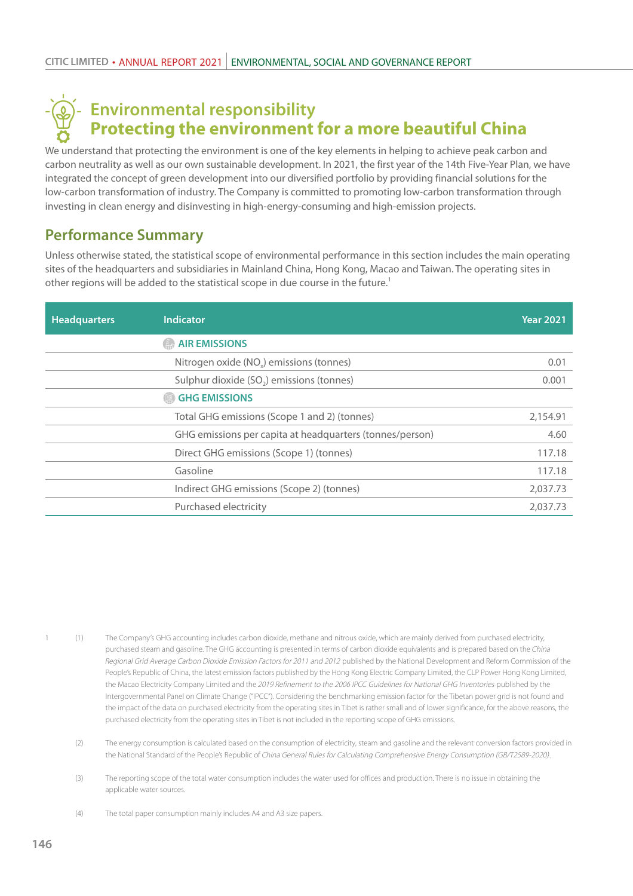# **Environmental responsibility Protecting the environment for a more beautiful China**

We understand that protecting the environment is one of the key elements in helping to achieve peak carbon and carbon neutrality as well as our own sustainable development. In 2021, the first year of the 14th Five-Year Plan, we have integrated the concept of green development into our diversified portfolio by providing financial solutions for the low-carbon transformation of industry. The Company is committed to promoting low-carbon transformation through investing in clean energy and disinvesting in high-energy-consuming and high-emission projects.

# **Performance Summary**

Unless otherwise stated, the statistical scope of environmental performance in this section includes the main operating sites of the headquarters and subsidiaries in Mainland China, Hong Kong, Macao and Taiwan. The operating sites in other regions will be added to the statistical scope in due course in the future.<sup>1</sup>

| <b>Headquarters</b> | Indicator                                                      | <b>Year 2021</b> |
|---------------------|----------------------------------------------------------------|------------------|
|                     | <b>AIR EMISSIONS</b>                                           |                  |
|                     | Nitrogen oxide (NO <sub>v</sub> ) emissions (tonnes)           | 0.01             |
|                     | Sulphur dioxide $(SO2)$ emissions (tonnes)                     | 0.001            |
|                     | <b>GHG EMISSIONS</b><br>$\left(\frac{\lambda}{\lambda}\right)$ |                  |
|                     | Total GHG emissions (Scope 1 and 2) (tonnes)                   | 2,154.91         |
|                     | GHG emissions per capita at headquarters (tonnes/person)       | 4.60             |
|                     | Direct GHG emissions (Scope 1) (tonnes)                        | 117.18           |
|                     | Gasoline                                                       | 117.18           |
|                     | Indirect GHG emissions (Scope 2) (tonnes)                      | 2,037.73         |
|                     | Purchased electricity                                          | 2,037.73         |

- (2) The energy consumption is calculated based on the consumption of electricity, steam and gasoline and the relevant conversion factors provided in the National Standard of the People's Republic of China General Rules for Calculating Comprehensive Energy Consumption (GB/T2589-2020).
- (3) The reporting scope of the total water consumption includes the water used for offices and production. There is no issue in obtaining the applicable water sources.
- (4) The total paper consumption mainly includes A4 and A3 size papers.

<sup>1 (1)</sup> The Company's GHG accounting includes carbon dioxide, methane and nitrous oxide, which are mainly derived from purchased electricity, purchased steam and gasoline. The GHG accounting is presented in terms of carbon dioxide equivalents and is prepared based on the China Regional Grid Average Carbon Dioxide Emission Factors for 2011 and 2012 published by the National Development and Reform Commission of the People's Republic of China, the latest emission factors published by the Hong Kong Electric Company Limited, the CLP Power Hong Kong Limited, the Macao Electricity Company Limited and the 2019 Refinement to the 2006 IPCC Guidelines for National GHG Inventories published by the Intergovernmental Panel on Climate Change ("IPCC"). Considering the benchmarking emission factor for the Tibetan power grid is not found and the impact of the data on purchased electricity from the operating sites in Tibet is rather small and of lower significance, for the above reasons, the purchased electricity from the operating sites in Tibet is not included in the reporting scope of GHG emissions.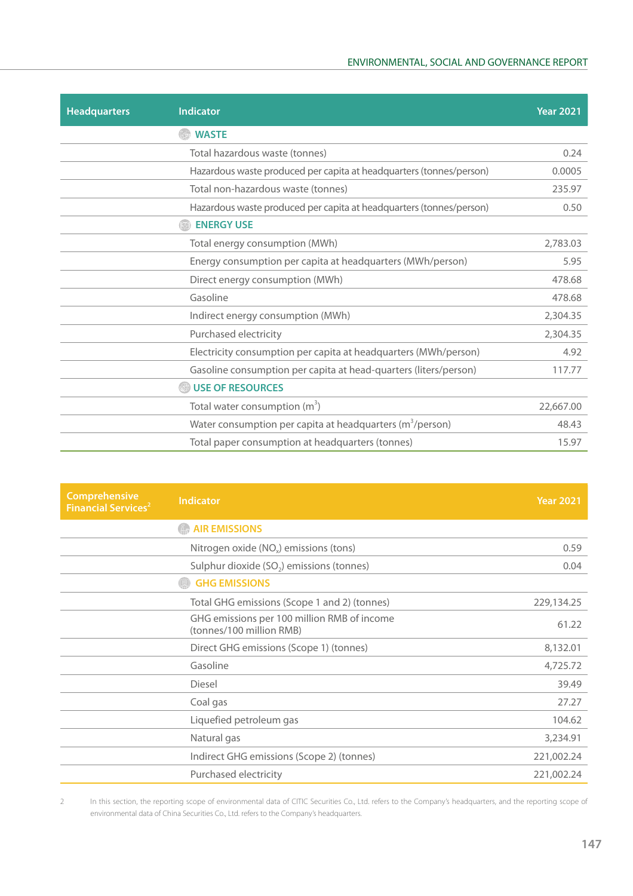| <b>Headquarters</b> | <b>Indicator</b>                                                    | <b>Year 2021</b> |
|---------------------|---------------------------------------------------------------------|------------------|
|                     | <b>WASTE</b>                                                        |                  |
|                     | Total hazardous waste (tonnes)                                      | 0.24             |
|                     | Hazardous waste produced per capita at headquarters (tonnes/person) | 0.0005           |
|                     | Total non-hazardous waste (tonnes)                                  | 235.97           |
|                     | Hazardous waste produced per capita at headquarters (tonnes/person) | 0.50             |
|                     | <b>ENERGY USE</b>                                                   |                  |
|                     | Total energy consumption (MWh)                                      | 2,783.03         |
|                     | Energy consumption per capita at headquarters (MWh/person)          | 5.95             |
|                     | Direct energy consumption (MWh)                                     | 478.68           |
|                     | Gasoline                                                            | 478.68           |
|                     | Indirect energy consumption (MWh)                                   | 2,304.35         |
|                     | Purchased electricity                                               | 2,304.35         |
|                     | Electricity consumption per capita at headquarters (MWh/person)     | 4.92             |
|                     | Gasoline consumption per capita at head-quarters (liters/person)    | 117.77           |
|                     | USE OF RESOURCES                                                    |                  |
|                     | Total water consumption $(m^3)$                                     | 22,667.00        |
|                     | Water consumption per capita at headquarters ( $m^3$ /person)       | 48.43            |
|                     | Total paper consumption at headquarters (tonnes)                    | 15.97            |

| Comprehensive<br><b>Financial Services<sup>2</sup></b> | <b>Indicator</b>                                                        | <b>Year 2021</b> |
|--------------------------------------------------------|-------------------------------------------------------------------------|------------------|
|                                                        | <b>AIR EMISSIONS</b>                                                    |                  |
|                                                        | Nitrogen oxide (NO <sub>x</sub> ) emissions (tons)                      | 0.59             |
|                                                        | Sulphur dioxide $(SO2)$ emissions (tonnes)                              | 0.04             |
|                                                        | <b>GHG EMISSIONS</b>                                                    |                  |
|                                                        | Total GHG emissions (Scope 1 and 2) (tonnes)                            | 229,134.25       |
|                                                        | GHG emissions per 100 million RMB of income<br>(tonnes/100 million RMB) | 61.22            |
|                                                        | Direct GHG emissions (Scope 1) (tonnes)                                 | 8,132.01         |
|                                                        | Gasoline                                                                | 4,725.72         |
|                                                        | Diesel                                                                  | 39.49            |
|                                                        | Coal gas                                                                | 27.27            |
|                                                        | Liquefied petroleum gas                                                 | 104.62           |
|                                                        | Natural gas                                                             | 3,234.91         |
|                                                        | Indirect GHG emissions (Scope 2) (tonnes)                               | 221,002.24       |
|                                                        | Purchased electricity                                                   | 221,002.24       |

2 In this section, the reporting scope of environmental data of CITIC Securities Co., Ltd. refers to the Company's headquarters, and the reporting scope of environmental data of China Securities Co., Ltd. refers to the Company's headquarters.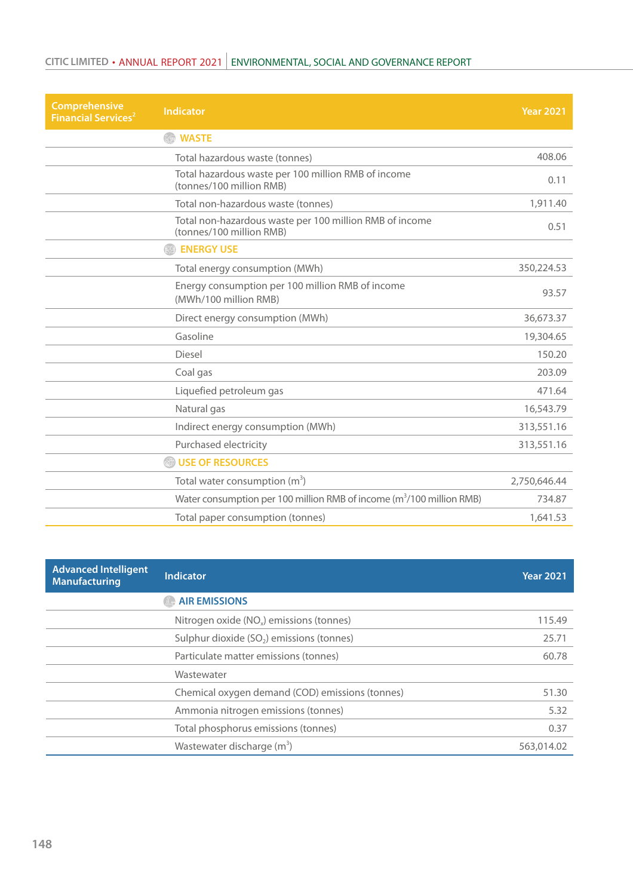# CITIC LIMITED • ANNUAL REPORT 2021 | ENVIRONMENTAL, SOCIAL AND GOVERNANCE REPORT

| Comprehensive<br><b>Financial Services<sup>2</sup></b> | <b>Indicator</b>                                                                    | <b>Year 2021</b> |
|--------------------------------------------------------|-------------------------------------------------------------------------------------|------------------|
|                                                        | <b>WASTE</b>                                                                        |                  |
|                                                        | Total hazardous waste (tonnes)                                                      | 408.06           |
|                                                        | Total hazardous waste per 100 million RMB of income<br>(tonnes/100 million RMB)     | 0.11             |
|                                                        | Total non-hazardous waste (tonnes)                                                  | 1,911.40         |
|                                                        | Total non-hazardous waste per 100 million RMB of income<br>(tonnes/100 million RMB) | 0.51             |
|                                                        | <b>ENERGY USE</b>                                                                   |                  |
|                                                        | Total energy consumption (MWh)                                                      | 350,224.53       |
|                                                        | Energy consumption per 100 million RMB of income<br>(MWh/100 million RMB)           | 93.57            |
|                                                        | Direct energy consumption (MWh)                                                     | 36,673.37        |
|                                                        | Gasoline                                                                            | 19,304.65        |
|                                                        | <b>Diesel</b>                                                                       | 150.20           |
|                                                        | Coal gas                                                                            | 203.09           |
|                                                        | Liquefied petroleum gas                                                             | 471.64           |
|                                                        | Natural gas                                                                         | 16,543.79        |
|                                                        | Indirect energy consumption (MWh)                                                   | 313,551.16       |
|                                                        | Purchased electricity                                                               | 313,551.16       |
|                                                        | <b>WE OF RESOURCES</b>                                                              |                  |
|                                                        | Total water consumption $(m^3)$                                                     | 2,750,646.44     |
|                                                        | Water consumption per 100 million RMB of income (m <sup>3</sup> /100 million RMB)   | 734.87           |
|                                                        | Total paper consumption (tonnes)                                                    | 1,641.53         |

| <b>Advanced Intelligent</b><br><b>Manufacturing</b> | Indicator                                            | <b>Year 2021</b> |
|-----------------------------------------------------|------------------------------------------------------|------------------|
|                                                     | <b>AIR EMISSIONS</b>                                 |                  |
|                                                     | Nitrogen oxide (NO <sub>v</sub> ) emissions (tonnes) | 115.49           |
|                                                     | Sulphur dioxide $(SO2)$ emissions (tonnes)           | 25.71            |
|                                                     | Particulate matter emissions (tonnes)                | 60.78            |
|                                                     | Wastewater                                           |                  |
|                                                     | Chemical oxygen demand (COD) emissions (tonnes)      | 51.30            |
|                                                     | Ammonia nitrogen emissions (tonnes)                  | 5.32             |
|                                                     | Total phosphorus emissions (tonnes)                  | 0.37             |
|                                                     | Wastewater discharge (m <sup>3</sup> )               | 563,014.02       |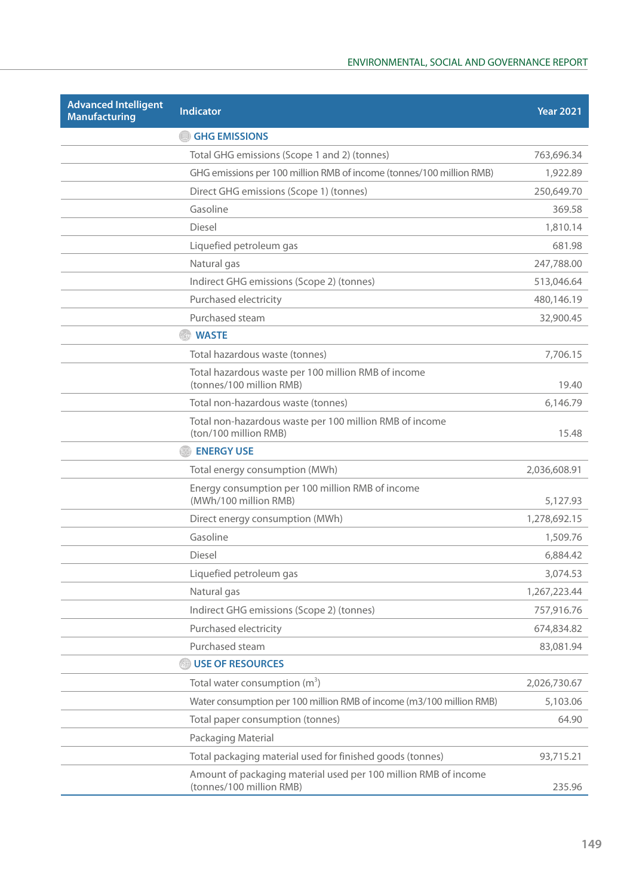| <b>Advanced Intelligent</b><br><b>Manufacturing</b> | <b>Indicator</b>                                                                            | <b>Year 2021</b> |
|-----------------------------------------------------|---------------------------------------------------------------------------------------------|------------------|
|                                                     | <b>GHG EMISSIONS</b>                                                                        |                  |
|                                                     | Total GHG emissions (Scope 1 and 2) (tonnes)                                                | 763,696.34       |
|                                                     | GHG emissions per 100 million RMB of income (tonnes/100 million RMB)                        | 1,922.89         |
|                                                     | Direct GHG emissions (Scope 1) (tonnes)                                                     | 250,649.70       |
|                                                     | Gasoline                                                                                    | 369.58           |
|                                                     | Diesel                                                                                      | 1,810.14         |
|                                                     | Liquefied petroleum gas                                                                     | 681.98           |
|                                                     | Natural gas                                                                                 | 247,788.00       |
|                                                     | Indirect GHG emissions (Scope 2) (tonnes)                                                   | 513,046.64       |
|                                                     | Purchased electricity                                                                       | 480,146.19       |
|                                                     | Purchased steam                                                                             | 32,900.45        |
|                                                     | <b>WASTE</b>                                                                                |                  |
|                                                     | Total hazardous waste (tonnes)                                                              | 7,706.15         |
|                                                     | Total hazardous waste per 100 million RMB of income<br>(tonnes/100 million RMB)             | 19.40            |
|                                                     | Total non-hazardous waste (tonnes)                                                          | 6,146.79         |
|                                                     | Total non-hazardous waste per 100 million RMB of income<br>(ton/100 million RMB)            | 15.48            |
|                                                     | <b>ENERGY USE</b>                                                                           |                  |
|                                                     | Total energy consumption (MWh)                                                              | 2,036,608.91     |
|                                                     | Energy consumption per 100 million RMB of income<br>(MWh/100 million RMB)                   | 5,127.93         |
|                                                     | Direct energy consumption (MWh)                                                             | 1,278,692.15     |
|                                                     | Gasoline                                                                                    | 1,509.76         |
|                                                     | Diesel                                                                                      | 6,884.42         |
|                                                     | Liquefied petroleum gas                                                                     | 3,074.53         |
|                                                     | Natural gas                                                                                 | 1,267,223.44     |
|                                                     | Indirect GHG emissions (Scope 2) (tonnes)                                                   | 757,916.76       |
|                                                     | Purchased electricity                                                                       | 674,834.82       |
|                                                     | Purchased steam                                                                             | 83,081.94        |
|                                                     | <b>USE OF RESOURCES</b>                                                                     |                  |
|                                                     | Total water consumption $(m^3)$                                                             | 2,026,730.67     |
|                                                     | Water consumption per 100 million RMB of income (m3/100 million RMB)                        | 5,103.06         |
|                                                     | Total paper consumption (tonnes)                                                            | 64.90            |
|                                                     | Packaging Material                                                                          |                  |
|                                                     | Total packaging material used for finished goods (tonnes)                                   | 93,715.21        |
|                                                     | Amount of packaging material used per 100 million RMB of income<br>(tonnes/100 million RMB) | 235.96           |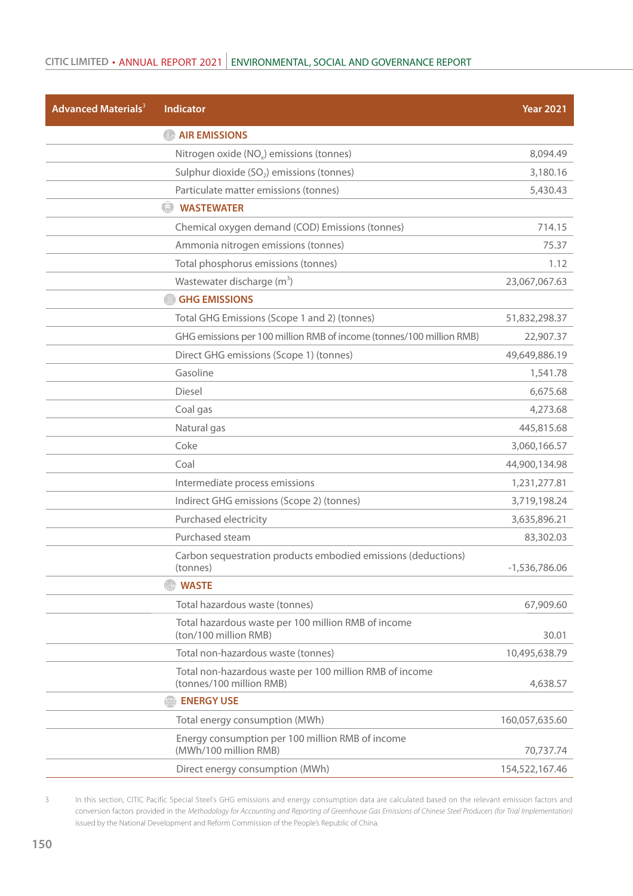# CITIC LIMITED • ANNUAL REPORT 2021 | ENVIRONMENTAL, SOCIAL AND GOVERNANCE REPORT

| <b>Advanced Materials<sup>3</sup></b> | <b>Indicator</b>                                                                    | <b>Year 2021</b> |
|---------------------------------------|-------------------------------------------------------------------------------------|------------------|
|                                       | <b>AIR EMISSIONS</b>                                                                |                  |
|                                       | Nitrogen oxide (NO <sub>x</sub> ) emissions (tonnes)                                | 8,094.49         |
|                                       | Sulphur dioxide $(SO2)$ emissions (tonnes)                                          | 3,180.16         |
|                                       | Particulate matter emissions (tonnes)                                               | 5,430.43         |
|                                       | $\left( \begin{matrix} 1 \\ 1 \\ 1 \end{matrix} \right)$<br><b>WASTEWATER</b>       |                  |
|                                       | Chemical oxygen demand (COD) Emissions (tonnes)                                     | 714.15           |
|                                       | Ammonia nitrogen emissions (tonnes)                                                 | 75.37            |
|                                       | Total phosphorus emissions (tonnes)                                                 | 1.12             |
|                                       | Wastewater discharge (m <sup>3</sup> )                                              | 23,067,067.63    |
|                                       | <b>SHG EMISSIONS</b>                                                                |                  |
|                                       | Total GHG Emissions (Scope 1 and 2) (tonnes)                                        | 51,832,298.37    |
|                                       | GHG emissions per 100 million RMB of income (tonnes/100 million RMB)                | 22,907.37        |
|                                       | Direct GHG emissions (Scope 1) (tonnes)                                             | 49,649,886.19    |
|                                       | Gasoline                                                                            | 1,541.78         |
|                                       | Diesel                                                                              | 6,675.68         |
|                                       | Coal gas                                                                            | 4,273.68         |
|                                       | Natural gas                                                                         | 445,815.68       |
|                                       | Coke                                                                                | 3,060,166.57     |
|                                       | Coal                                                                                | 44,900,134.98    |
|                                       | Intermediate process emissions                                                      | 1,231,277.81     |
|                                       | Indirect GHG emissions (Scope 2) (tonnes)                                           | 3,719,198.24     |
|                                       | Purchased electricity                                                               | 3,635,896.21     |
|                                       | Purchased steam                                                                     | 83,302.03        |
|                                       | Carbon sequestration products embodied emissions (deductions)<br>(tonnes)           | $-1,536,786.06$  |
|                                       | <b>WASTE</b>                                                                        |                  |
|                                       | Total hazardous waste (tonnes)                                                      | 67,909.60        |
|                                       | Total hazardous waste per 100 million RMB of income<br>(ton/100 million RMB)        | 30.01            |
|                                       | Total non-hazardous waste (tonnes)                                                  | 10,495,638.79    |
|                                       | Total non-hazardous waste per 100 million RMB of income<br>(tonnes/100 million RMB) | 4,638.57         |
|                                       | <b>ENERGY USE</b>                                                                   |                  |
|                                       | Total energy consumption (MWh)                                                      | 160,057,635.60   |
|                                       | Energy consumption per 100 million RMB of income<br>(MWh/100 million RMB)           | 70,737.74        |
|                                       | Direct energy consumption (MWh)                                                     | 154,522,167.46   |

3 In this section, CITIC Pacific Special Steel's GHG emissions and energy consumption data are calculated based on the relevant emission factors and conversion factors provided in the Methodology for Accounting and Reporting of Greenhouse Gas Emissions of Chinese Steel Producers (for Trial Implementation) issued by the National Development and Reform Commission of the People's Republic of China.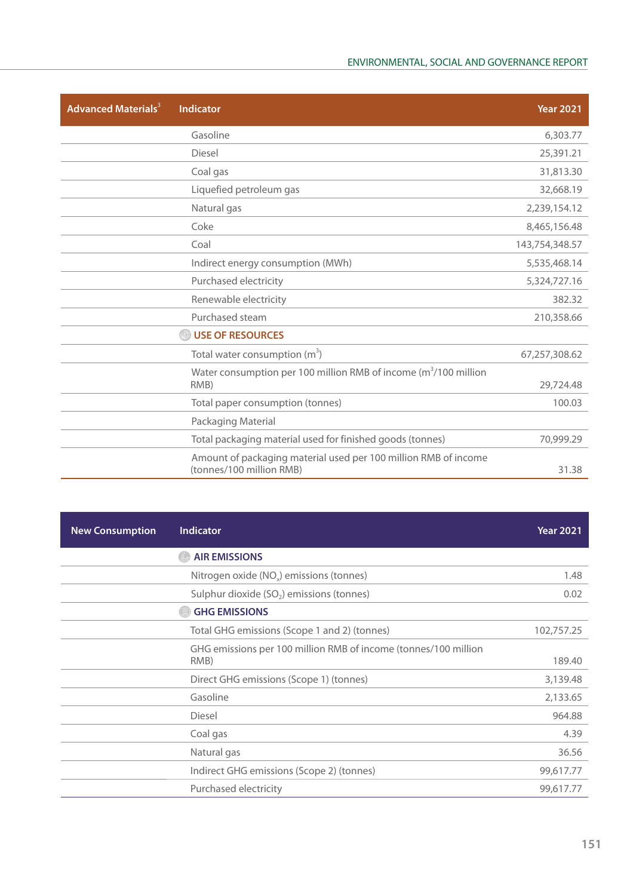| <b>Advanced Materials<sup>3</sup></b> | <b>Indicator</b>                                                                            | <b>Year 2021</b> |
|---------------------------------------|---------------------------------------------------------------------------------------------|------------------|
|                                       | Gasoline                                                                                    | 6,303.77         |
|                                       | Diesel                                                                                      | 25,391.21        |
|                                       | Coal gas                                                                                    | 31,813.30        |
|                                       | Liquefied petroleum gas                                                                     | 32,668.19        |
|                                       | Natural gas                                                                                 | 2,239,154.12     |
|                                       | Coke                                                                                        | 8,465,156.48     |
|                                       | Coal                                                                                        | 143,754,348.57   |
|                                       | Indirect energy consumption (MWh)                                                           | 5,535,468.14     |
|                                       | Purchased electricity                                                                       | 5,324,727.16     |
|                                       | Renewable electricity                                                                       | 382.32           |
|                                       | Purchased steam                                                                             | 210,358.66       |
|                                       | <b>USE OF RESOURCES</b>                                                                     |                  |
|                                       | Total water consumption $(m^3)$                                                             | 67,257,308.62    |
|                                       | Water consumption per 100 million RMB of income $(m^3/100 \text{ million})$<br>RMB)         | 29,724.48        |
|                                       | Total paper consumption (tonnes)                                                            | 100.03           |
|                                       | Packaging Material                                                                          |                  |
|                                       | Total packaging material used for finished goods (tonnes)                                   | 70,999.29        |
|                                       | Amount of packaging material used per 100 million RMB of income<br>(tonnes/100 million RMB) | 31.38            |

| <b>New Consumption</b> | <b>Indicator</b>                                                        | <b>Year 2021</b> |
|------------------------|-------------------------------------------------------------------------|------------------|
|                        | <b>AIR EMISSIONS</b>                                                    |                  |
|                        | Nitrogen oxide (NO <sub>x</sub> ) emissions (tonnes)                    | 1.48             |
|                        | Sulphur dioxide $(SO2)$ emissions (tonnes)                              | 0.02             |
|                        | <b>GHG EMISSIONS</b>                                                    |                  |
|                        | Total GHG emissions (Scope 1 and 2) (tonnes)                            | 102,757.25       |
|                        | GHG emissions per 100 million RMB of income (tonnes/100 million<br>RMB) | 189.40           |
|                        | Direct GHG emissions (Scope 1) (tonnes)                                 | 3,139.48         |
|                        | Gasoline                                                                | 2,133.65         |
|                        | Diesel                                                                  | 964.88           |
|                        | Coal gas                                                                | 4.39             |
|                        | Natural gas                                                             | 36.56            |
|                        | Indirect GHG emissions (Scope 2) (tonnes)                               | 99,617.77        |
|                        | Purchased electricity                                                   | 99,617.77        |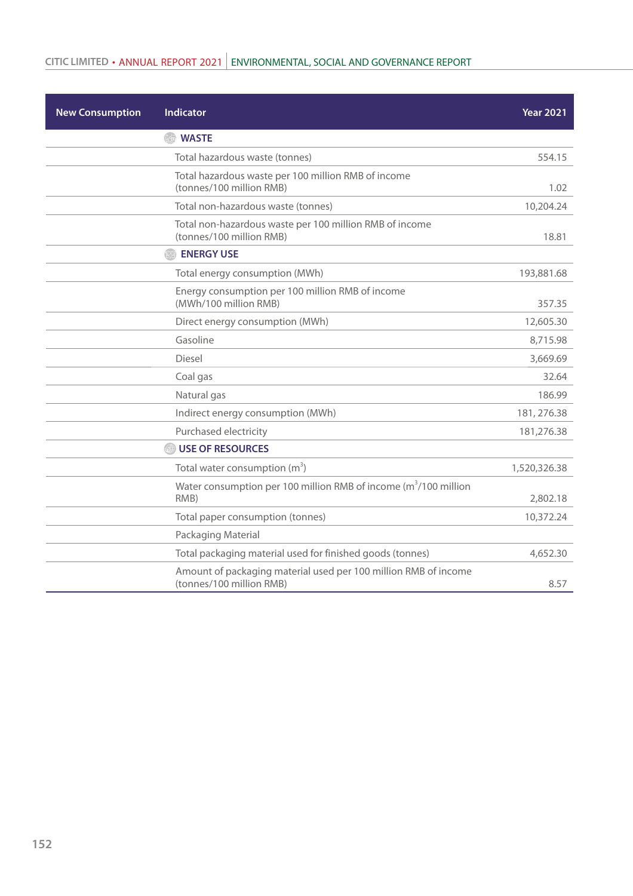| <b>New Consumption</b> | <b>Indicator</b>                                                                            | <b>Year 2021</b> |
|------------------------|---------------------------------------------------------------------------------------------|------------------|
|                        | <b>WASTE</b>                                                                                |                  |
|                        | Total hazardous waste (tonnes)                                                              | 554.15           |
|                        | Total hazardous waste per 100 million RMB of income<br>(tonnes/100 million RMB)             | 1.02             |
|                        | Total non-hazardous waste (tonnes)                                                          | 10,204.24        |
|                        | Total non-hazardous waste per 100 million RMB of income<br>(tonnes/100 million RMB)         | 18.81            |
|                        | <b>ENERGY USE</b>                                                                           |                  |
|                        | Total energy consumption (MWh)                                                              | 193,881.68       |
|                        | Energy consumption per 100 million RMB of income<br>(MWh/100 million RMB)                   | 357.35           |
|                        | Direct energy consumption (MWh)                                                             | 12,605.30        |
|                        | Gasoline                                                                                    | 8,715.98         |
|                        | <b>Diesel</b>                                                                               | 3,669.69         |
|                        | Coal gas                                                                                    | 32.64            |
|                        | Natural gas                                                                                 | 186.99           |
|                        | Indirect energy consumption (MWh)                                                           | 181, 276.38      |
|                        | Purchased electricity                                                                       | 181,276.38       |
|                        | <b>SE OF RESOURCES</b>                                                                      |                  |
|                        | Total water consumption $(m^3)$                                                             | 1,520,326.38     |
|                        | Water consumption per 100 million RMB of income $(m^3/100 \text{ million})$<br>RMB)         | 2,802.18         |
|                        | Total paper consumption (tonnes)                                                            | 10,372.24        |
|                        | Packaging Material                                                                          |                  |
|                        | Total packaging material used for finished goods (tonnes)                                   | 4,652.30         |
|                        | Amount of packaging material used per 100 million RMB of income<br>(tonnes/100 million RMB) | 8.57             |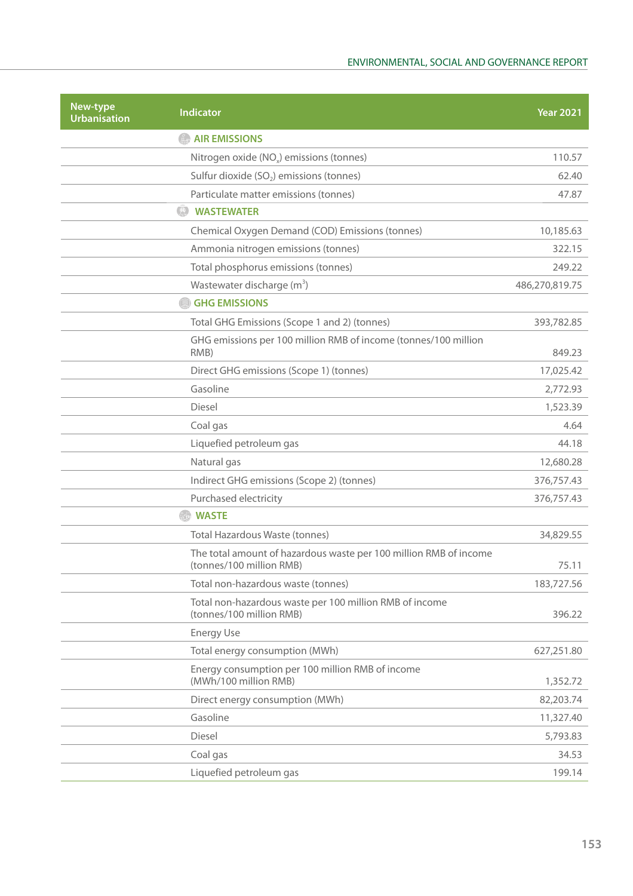| New-type<br><b>Urbanisation</b> | Indicator                                                                                     | <b>Year 2021</b> |
|---------------------------------|-----------------------------------------------------------------------------------------------|------------------|
|                                 | <b>AIR EMISSIONS</b>                                                                          |                  |
|                                 | Nitrogen oxide (NO <sub>x</sub> ) emissions (tonnes)                                          | 110.57           |
|                                 | Sulfur dioxide $(SO2)$ emissions (tonnes)                                                     | 62.40            |
|                                 | Particulate matter emissions (tonnes)                                                         | 47.87            |
|                                 | <b>WASTEWATER</b><br>$\left(\frac{4}{3}\right)$                                               |                  |
|                                 | Chemical Oxygen Demand (COD) Emissions (tonnes)                                               | 10,185.63        |
|                                 | Ammonia nitrogen emissions (tonnes)                                                           | 322.15           |
|                                 | Total phosphorus emissions (tonnes)                                                           | 249.22           |
|                                 | Wastewater discharge (m <sup>3</sup> )                                                        | 486,270,819.75   |
|                                 | <b>® GHG EMISSIONS</b>                                                                        |                  |
|                                 | Total GHG Emissions (Scope 1 and 2) (tonnes)                                                  | 393,782.85       |
|                                 | GHG emissions per 100 million RMB of income (tonnes/100 million<br>RMB)                       | 849.23           |
|                                 | Direct GHG emissions (Scope 1) (tonnes)                                                       | 17,025.42        |
|                                 | Gasoline                                                                                      | 2,772.93         |
|                                 | <b>Diesel</b>                                                                                 | 1,523.39         |
|                                 | Coal gas                                                                                      | 4.64             |
|                                 | Liquefied petroleum gas                                                                       | 44.18            |
|                                 | Natural gas                                                                                   | 12,680.28        |
|                                 | Indirect GHG emissions (Scope 2) (tonnes)                                                     | 376,757.43       |
|                                 | Purchased electricity                                                                         | 376,757.43       |
|                                 | <b>WASTE</b>                                                                                  |                  |
|                                 | <b>Total Hazardous Waste (tonnes)</b>                                                         | 34,829.55        |
|                                 | The total amount of hazardous waste per 100 million RMB of income<br>(tonnes/100 million RMB) | 75.11            |
|                                 | Total non-hazardous waste (tonnes)                                                            | 183,727.56       |
|                                 | Total non-hazardous waste per 100 million RMB of income<br>(tonnes/100 million RMB)           | 396.22           |
|                                 | <b>Energy Use</b>                                                                             |                  |
|                                 | Total energy consumption (MWh)                                                                | 627,251.80       |
|                                 | Energy consumption per 100 million RMB of income<br>(MWh/100 million RMB)                     | 1,352.72         |
|                                 | Direct energy consumption (MWh)                                                               | 82,203.74        |
|                                 | Gasoline                                                                                      | 11,327.40        |
|                                 | Diesel                                                                                        | 5,793.83         |
|                                 | Coal gas                                                                                      | 34.53            |
|                                 | Liquefied petroleum gas                                                                       | 199.14           |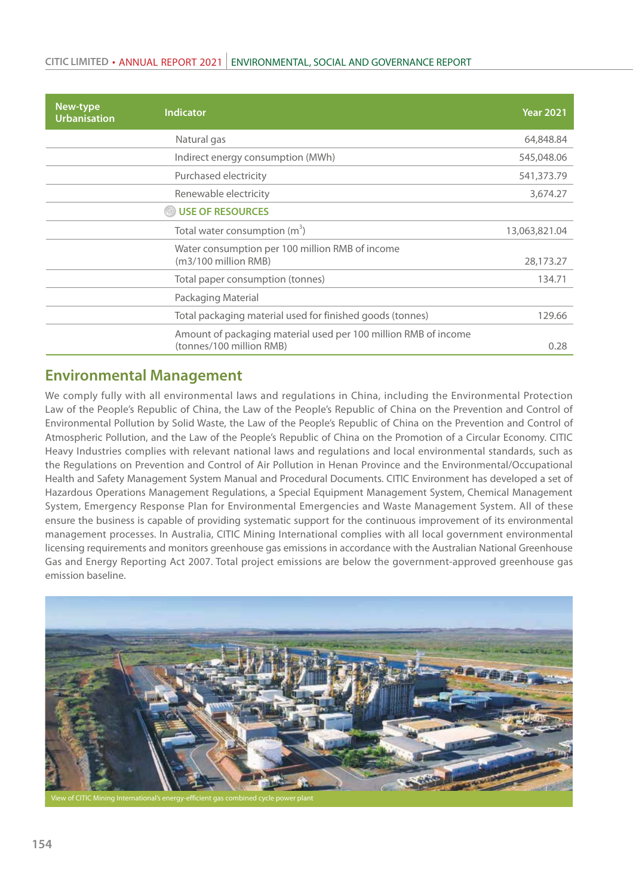| New-type<br><b>Urbanisation</b> | <b>Indicator</b>                                                                            | <b>Year 2021</b> |
|---------------------------------|---------------------------------------------------------------------------------------------|------------------|
|                                 | Natural gas                                                                                 | 64,848.84        |
|                                 | Indirect energy consumption (MWh)                                                           | 545,048.06       |
|                                 | Purchased electricity                                                                       | 541,373.79       |
|                                 | Renewable electricity                                                                       | 3,674.27         |
|                                 | <b>WE OF RESOURCES</b>                                                                      |                  |
|                                 | Total water consumption $(m^3)$                                                             | 13,063,821.04    |
|                                 | Water consumption per 100 million RMB of income<br>(m3/100 million RMB)                     | 28,173.27        |
|                                 | Total paper consumption (tonnes)                                                            | 134.71           |
|                                 | Packaging Material                                                                          |                  |
|                                 | Total packaging material used for finished goods (tonnes)                                   | 129.66           |
|                                 | Amount of packaging material used per 100 million RMB of income<br>(tonnes/100 million RMB) | 0.28             |

## **Environmental Management**

We comply fully with all environmental laws and regulations in China, including the Environmental Protection Law of the People's Republic of China, the Law of the People's Republic of China on the Prevention and Control of Environmental Pollution by Solid Waste, the Law of the People's Republic of China on the Prevention and Control of Atmospheric Pollution, and the Law of the People's Republic of China on the Promotion of a Circular Economy. CITIC Heavy Industries complies with relevant national laws and regulations and local environmental standards, such as the Regulations on Prevention and Control of Air Pollution in Henan Province and the Environmental/Occupational Health and Safety Management System Manual and Procedural Documents. CITIC Environment has developed a set of Hazardous Operations Management Regulations, a Special Equipment Management System, Chemical Management System, Emergency Response Plan for Environmental Emergencies and Waste Management System. All of these ensure the business is capable of providing systematic support for the continuous improvement of its environmental management processes. In Australia, CITIC Mining International complies with all local government environmental licensing requirements and monitors greenhouse gas emissions in accordance with the Australian National Greenhouse Gas and Energy Reporting Act 2007. Total project emissions are below the government-approved greenhouse gas emission baseline.

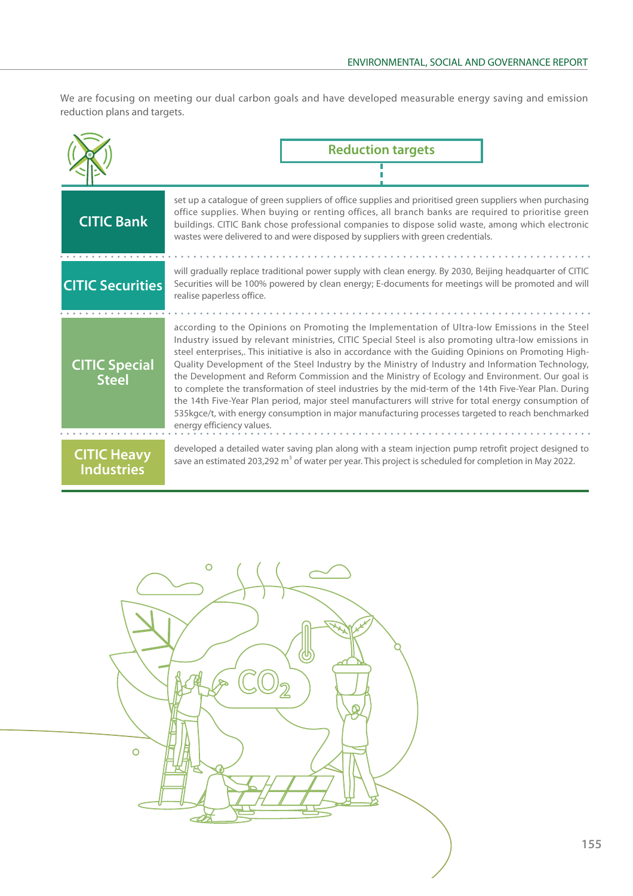We are focusing on meeting our dual carbon goals and have developed measurable energy saving and emission reduction plans and targets.

|                                         | <b>Reduction targets</b>                                                                                                                                                                                                                                                                                                                                                                                                                                                                                                                                                                                                                                                                                                                                                                                                                                                   |
|-----------------------------------------|----------------------------------------------------------------------------------------------------------------------------------------------------------------------------------------------------------------------------------------------------------------------------------------------------------------------------------------------------------------------------------------------------------------------------------------------------------------------------------------------------------------------------------------------------------------------------------------------------------------------------------------------------------------------------------------------------------------------------------------------------------------------------------------------------------------------------------------------------------------------------|
| <b>CITIC Bank</b>                       | set up a catalogue of green suppliers of office supplies and prioritised green suppliers when purchasing<br>office supplies. When buying or renting offices, all branch banks are required to prioritise green<br>buildings. CITIC Bank chose professional companies to dispose solid waste, among which electronic<br>wastes were delivered to and were disposed by suppliers with green credentials.                                                                                                                                                                                                                                                                                                                                                                                                                                                                     |
| <b>CITIC Securities</b>                 | will gradually replace traditional power supply with clean energy. By 2030, Beijing headquarter of CITIC<br>Securities will be 100% powered by clean energy; E-documents for meetings will be promoted and will<br>realise paperless office.                                                                                                                                                                                                                                                                                                                                                                                                                                                                                                                                                                                                                               |
| <b>CITIC Special</b><br><b>Steel</b>    | according to the Opinions on Promoting the Implementation of Ultra-low Emissions in the Steel<br>Industry issued by relevant ministries, CITIC Special Steel is also promoting ultra-low emissions in<br>steel enterprises,. This initiative is also in accordance with the Guiding Opinions on Promoting High-<br>Quality Development of the Steel Industry by the Ministry of Industry and Information Technology,<br>the Development and Reform Commission and the Ministry of Ecology and Environment. Our goal is<br>to complete the transformation of steel industries by the mid-term of the 14th Five-Year Plan. During<br>the 14th Five-Year Plan period, major steel manufacturers will strive for total energy consumption of<br>535kgce/t, with energy consumption in major manufacturing processes targeted to reach benchmarked<br>energy efficiency values. |
| <b>CITIC Heavy</b><br><b>Industries</b> | developed a detailed water saving plan along with a steam injection pump retrofit project designed to<br>save an estimated 203,292 m <sup>3</sup> of water per year. This project is scheduled for completion in May 2022.                                                                                                                                                                                                                                                                                                                                                                                                                                                                                                                                                                                                                                                 |

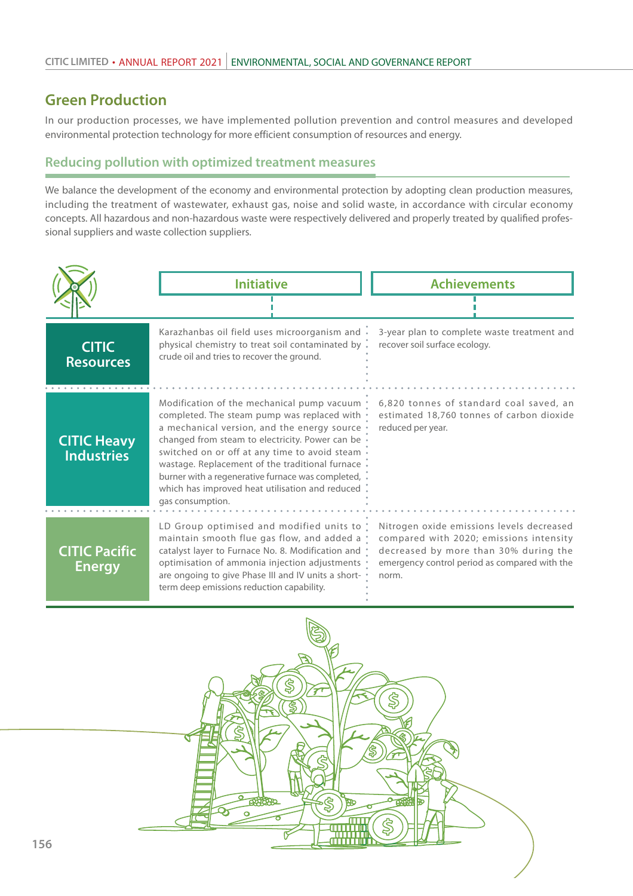# **Green Production**

In our production processes, we have implemented pollution prevention and control measures and developed environmental protection technology for more efficient consumption of resources and energy.

### **Reducing pollution with optimized treatment measures**

We balance the development of the economy and environmental protection by adopting clean production measures, including the treatment of wastewater, exhaust gas, noise and solid waste, in accordance with circular economy concepts. All hazardous and non-hazardous waste were respectively delivered and properly treated by qualified professional suppliers and waste collection suppliers.



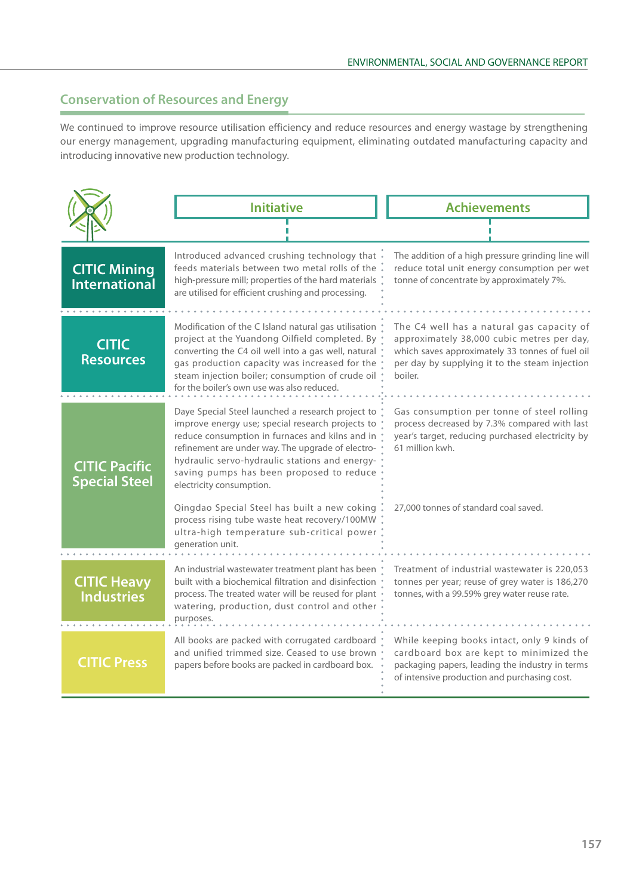# **Conservation of Resources and Energy**

We continued to improve resource utilisation efficiency and reduce resources and energy wastage by strengthening our energy management, upgrading manufacturing equipment, eliminating outdated manufacturing capacity and introducing innovative new production technology.

|                                              | <b>Initiative</b>                                                                                                                                                                                                                                                                                                                       | <b>Achievements</b>                                                                                                                                                                                     |  |
|----------------------------------------------|-----------------------------------------------------------------------------------------------------------------------------------------------------------------------------------------------------------------------------------------------------------------------------------------------------------------------------------------|---------------------------------------------------------------------------------------------------------------------------------------------------------------------------------------------------------|--|
|                                              |                                                                                                                                                                                                                                                                                                                                         |                                                                                                                                                                                                         |  |
| <b>CITIC Mining</b><br><b>International</b>  | Introduced advanced crushing technology that<br>feeds materials between two metal rolls of the<br>high-pressure mill; properties of the hard materials<br>are utilised for efficient crushing and processing.                                                                                                                           | The addition of a high pressure grinding line will<br>reduce total unit energy consumption per wet<br>tonne of concentrate by approximately 7%.                                                         |  |
| <b>CITIC</b><br><b>Resources</b>             | Modification of the C Island natural gas utilisation<br>project at the Yuandong Oilfield completed. By<br>converting the C4 oil well into a gas well, natural<br>gas production capacity was increased for the<br>steam injection boiler; consumption of crude oil<br>for the boiler's own use was also reduced.                        | The C4 well has a natural gas capacity of<br>approximately 38,000 cubic metres per day,<br>which saves approximately 33 tonnes of fuel oil<br>per day by supplying it to the steam injection<br>boiler. |  |
| <b>CITIC Pacific</b><br><b>Special Steel</b> | Daye Special Steel launched a research project to<br>improve energy use; special research projects to<br>reduce consumption in furnaces and kilns and in<br>refinement are under way. The upgrade of electro-<br>hydraulic servo-hydraulic stations and energy-<br>saving pumps has been proposed to reduce<br>electricity consumption. | Gas consumption per tonne of steel rolling<br>process decreased by 7.3% compared with last<br>year's target, reducing purchased electricity by<br>61 million kwh.                                       |  |
|                                              | Qingdao Special Steel has built a new coking<br>process rising tube waste heat recovery/100MW<br>ultra-high temperature sub-critical power<br>generation unit.                                                                                                                                                                          | 27,000 tonnes of standard coal saved.                                                                                                                                                                   |  |
| <b>CITIC Heavy</b><br><b>Industries</b>      | An industrial wastewater treatment plant has been<br>built with a biochemical filtration and disinfection<br>process. The treated water will be reused for plant<br>watering, production, dust control and other<br>purposes.                                                                                                           | Treatment of industrial wastewater is 220,053<br>tonnes per year; reuse of grey water is 186,270<br>tonnes, with a 99.59% grey water reuse rate.                                                        |  |
| <b>CITIC Press</b>                           | All books are packed with corrugated cardboard<br>and unified trimmed size. Ceased to use brown<br>papers before books are packed in cardboard box.                                                                                                                                                                                     | While keeping books intact, only 9 kinds of<br>cardboard box are kept to minimized the<br>packaging papers, leading the industry in terms<br>of intensive production and purchasing cost.               |  |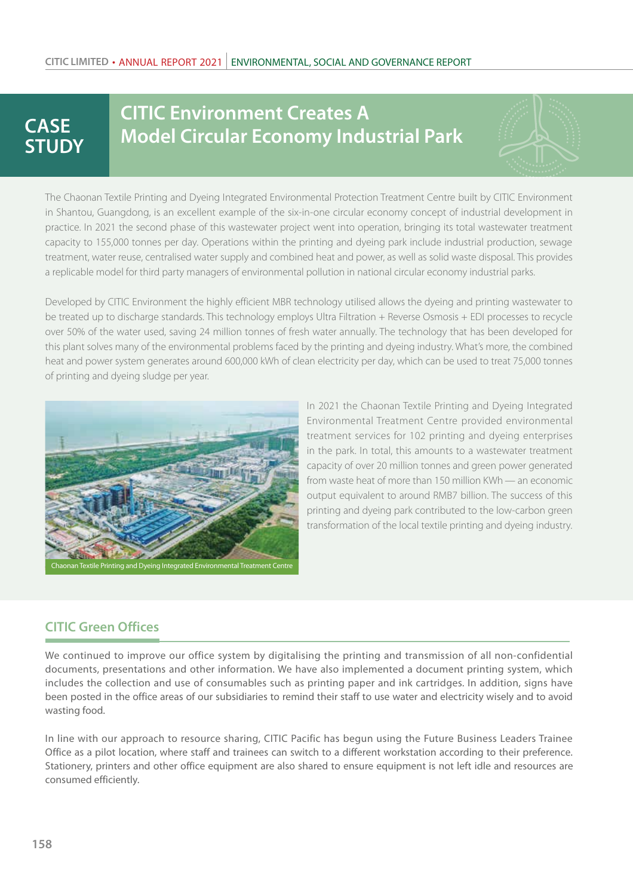# **STUDY**

# **CITIC Environment Creates A Model Circular Economy Industrial Park CASE**



The Chaonan Textile Printing and Dyeing Integrated Environmental Protection Treatment Centre built by CITIC Environment in Shantou, Guangdong, is an excellent example of the six-in-one circular economy concept of industrial development in practice. In 2021 the second phase of this wastewater project went into operation, bringing its total wastewater treatment capacity to 155,000 tonnes per day. Operations within the printing and dyeing park include industrial production, sewage treatment, water reuse, centralised water supply and combined heat and power, as well as solid waste disposal. This provides a replicable model for third party managers of environmental pollution in national circular economy industrial parks.

Developed by CITIC Environment the highly efficient MBR technology utilised allows the dyeing and printing wastewater to be treated up to discharge standards. This technology employs Ultra Filtration + Reverse Osmosis + EDI processes to recycle over 50% of the water used, saving 24 million tonnes of fresh water annually. The technology that has been developed for this plant solves many of the environmental problems faced by the printing and dyeing industry. What's more, the combined heat and power system generates around 600,000 kWh of clean electricity per day, which can be used to treat 75,000 tonnes of printing and dyeing sludge per year.



In 2021 the Chaonan Textile Printing and Dyeing Integrated Environmental Treatment Centre provided environmental treatment services for 102 printing and dyeing enterprises in the park. In total, this amounts to a wastewater treatment capacity of over 20 million tonnes and green power generated from waste heat of more than 150 million KWh — an economic output equivalent to around RMB7 billion. The success of this printing and dyeing park contributed to the low-carbon green transformation of the local textile printing and dyeing industry.

# **CITIC Green Offices**

We continued to improve our office system by digitalising the printing and transmission of all non-confidential documents, presentations and other information. We have also implemented a document printing system, which includes the collection and use of consumables such as printing paper and ink cartridges. In addition, signs have been posted in the office areas of our subsidiaries to remind their staff to use water and electricity wisely and to avoid wasting food.

In line with our approach to resource sharing, CITIC Pacific has begun using the Future Business Leaders Trainee Office as a pilot location, where staff and trainees can switch to a different workstation according to their preference. Stationery, printers and other office equipment are also shared to ensure equipment is not left idle and resources are consumed efficiently.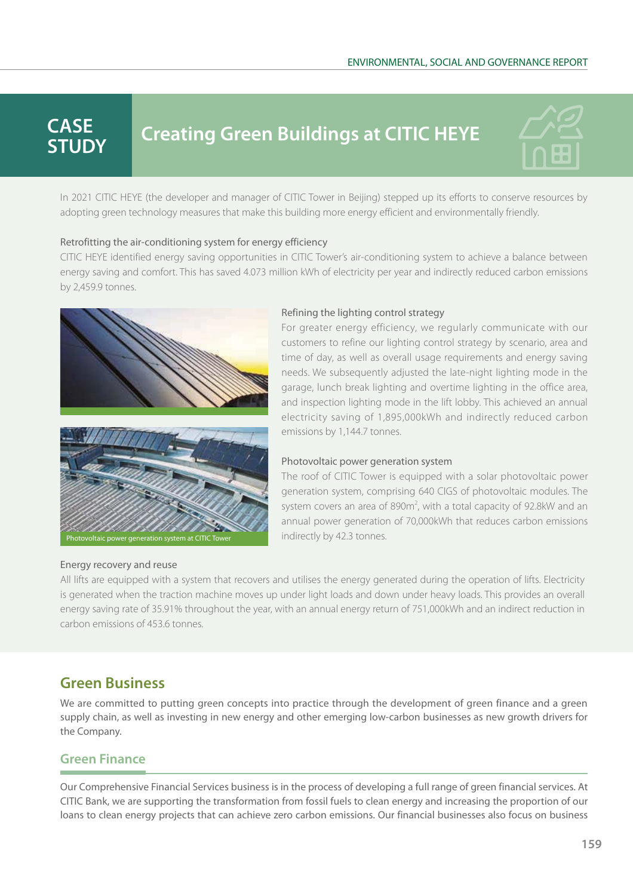# **CASE STUDY**

# **Creating Green Buildings at CITIC HEYE**



In 2021 CITIC HEYE (the developer and manager of CITIC Tower in Beijing) stepped up its efforts to conserve resources by adopting green technology measures that make this building more energy efficient and environmentally friendly.

### Retrofitting the air-conditioning system for energy efficiency

CITIC HEYE identified energy saving opportunities in CITIC Tower's air-conditioning system to achieve a balance between energy saving and comfort. This has saved 4.073 million kWh of electricity per year and indirectly reduced carbon emissions by 2,459.9 tonnes.





### Energy recovery and reuse

### Refining the lighting control strategy

For greater energy efficiency, we regularly communicate with our customers to refine our lighting control strategy by scenario, area and time of day, as well as overall usage requirements and energy saving needs. We subsequently adjusted the late-night lighting mode in the garage, lunch break lighting and overtime lighting in the office area, and inspection lighting mode in the lift lobby. This achieved an annual electricity saving of 1,895,000kWh and indirectly reduced carbon emissions by 1,144.7 tonnes.

### Photovoltaic power generation system

The roof of CITIC Tower is equipped with a solar photovoltaic power generation system, comprising 640 CIGS of photovoltaic modules. The system covers an area of 890 $m<sup>2</sup>$ , with a total capacity of 92.8kW and an annual power generation of 70,000kWh that reduces carbon emissions indirectly by 42.3 tonnes.

All lifts are equipped with a system that recovers and utilises the energy generated during the operation of lifts. Electricity is generated when the traction machine moves up under light loads and down under heavy loads. This provides an overall energy saving rate of 35.91% throughout the year, with an annual energy return of 751,000kWh and an indirect reduction in carbon emissions of 453.6 tonnes.

# **Green Business**

We are committed to putting green concepts into practice through the development of green finance and a green supply chain, as well as investing in new energy and other emerging low-carbon businesses as new growth drivers for the Company.

### **Green Finance**

Our Comprehensive Financial Services business is in the process of developing a full range of green financial services. At CITIC Bank, we are supporting the transformation from fossil fuels to clean energy and increasing the proportion of our loans to clean energy projects that can achieve zero carbon emissions. Our financial businesses also focus on business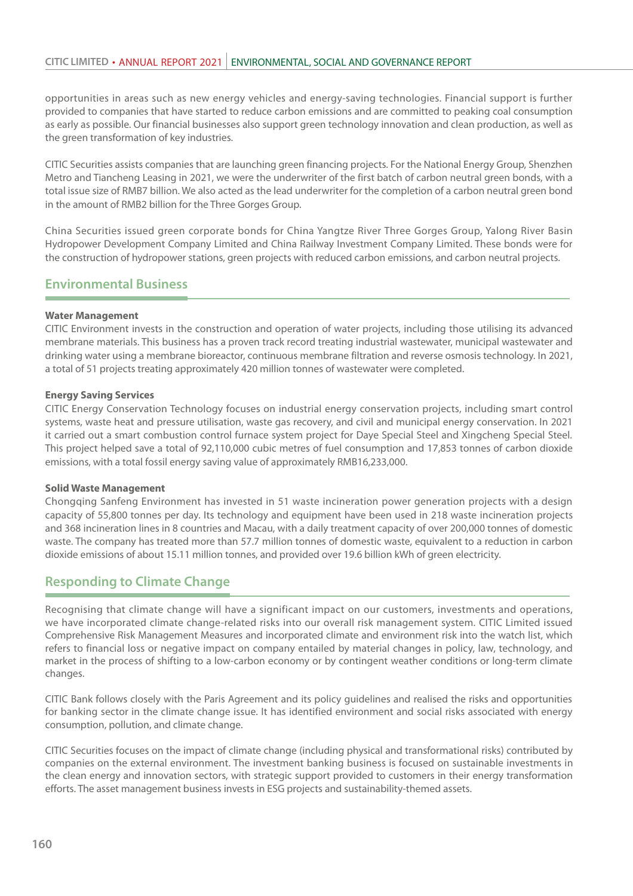opportunities in areas such as new energy vehicles and energy-saving technologies. Financial support is further provided to companies that have started to reduce carbon emissions and are committed to peaking coal consumption as early as possible. Our financial businesses also support green technology innovation and clean production, as well as the green transformation of key industries.

CITIC Securities assists companies that are launching green financing projects. For the National Energy Group, Shenzhen Metro and Tiancheng Leasing in 2021, we were the underwriter of the first batch of carbon neutral green bonds, with a total issue size of RMB7 billion. We also acted as the lead underwriter for the completion of a carbon neutral green bond in the amount of RMB2 billion for the Three Gorges Group.

China Securities issued green corporate bonds for China Yangtze River Three Gorges Group, Yalong River Basin Hydropower Development Company Limited and China Railway Investment Company Limited. These bonds were for the construction of hydropower stations, green projects with reduced carbon emissions, and carbon neutral projects.

### **Environmental Business**

#### **Water Management**

CITIC Environment invests in the construction and operation of water projects, including those utilising its advanced membrane materials. This business has a proven track record treating industrial wastewater, municipal wastewater and drinking water using a membrane bioreactor, continuous membrane filtration and reverse osmosis technology. In 2021, a total of 51 projects treating approximately 420 million tonnes of wastewater were completed.

#### **Energy Saving Services**

CITIC Energy Conservation Technology focuses on industrial energy conservation projects, including smart control systems, waste heat and pressure utilisation, waste gas recovery, and civil and municipal energy conservation. In 2021 it carried out a smart combustion control furnace system project for Daye Special Steel and Xingcheng Special Steel. This project helped save a total of 92,110,000 cubic metres of fuel consumption and 17,853 tonnes of carbon dioxide emissions, with a total fossil energy saving value of approximately RMB16,233,000.

#### **Solid Waste Management**

Chongging Sanfeng Environment has invested in 51 waste incineration power generation projects with a design capacity of 55,800 tonnes per day. Its technology and equipment have been used in 218 waste incineration projects and 368 incineration lines in 8 countries and Macau, with a daily treatment capacity of over 200,000 tonnes of domestic waste. The company has treated more than 57.7 million tonnes of domestic waste, equivalent to a reduction in carbon dioxide emissions of about 15.11 million tonnes, and provided over 19.6 billion kWh of green electricity.

### **Responding to Climate Change**

Recognising that climate change will have a significant impact on our customers, investments and operations, we have incorporated climate change-related risks into our overall risk management system. CITIC Limited issued Comprehensive Risk Management Measures and incorporated climate and environment risk into the watch list, which refers to financial loss or negative impact on company entailed by material changes in policy, law, technology, and market in the process of shifting to a low-carbon economy or by contingent weather conditions or long-term climate changes.

CITIC Bank follows closely with the Paris Agreement and its policy guidelines and realised the risks and opportunities for banking sector in the climate change issue. It has identified environment and social risks associated with energy consumption, pollution, and climate change.

CITIC Securities focuses on the impact of climate change (including physical and transformational risks) contributed by companies on the external environment. The investment banking business is focused on sustainable investments in the clean energy and innovation sectors, with strategic support provided to customers in their energy transformation efforts. The asset management business invests in ESG projects and sustainability-themed assets.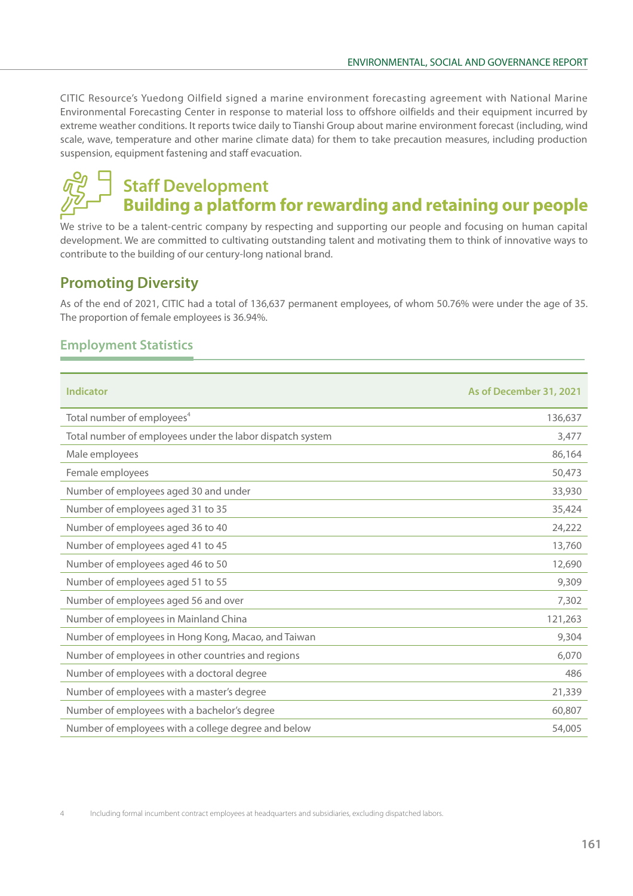CITIC Resource's Yuedong Oilfield signed a marine environment forecasting agreement with National Marine Environmental Forecasting Center in response to material loss to offshore oilfields and their equipment incurred by extreme weather conditions. It reports twice daily to Tianshi Group about marine environment forecast (including, wind scale, wave, temperature and other marine climate data) for them to take precaution measures, including production suspension, equipment fastening and staff evacuation.

# **Staff Development Building a platform for rewarding and retaining our people**

We strive to be a talent-centric company by respecting and supporting our people and focusing on human capital development. We are committed to cultivating outstanding talent and motivating them to think of innovative ways to contribute to the building of our century-long national brand.

# **Promoting Diversity**

As of the end of 2021, CITIC had a total of 136,637 permanent employees, of whom 50.76% were under the age of 35. The proportion of female employees is 36.94%.

### **Employment Statistics**

| <b>Indicator</b>                                          | As of December 31, 2021 |
|-----------------------------------------------------------|-------------------------|
| Total number of employees <sup>4</sup>                    | 136,637                 |
| Total number of employees under the labor dispatch system | 3,477                   |
| Male employees                                            | 86,164                  |
| Female employees                                          | 50,473                  |
| Number of employees aged 30 and under                     | 33,930                  |
| Number of employees aged 31 to 35                         | 35,424                  |
| Number of employees aged 36 to 40                         | 24,222                  |
| Number of employees aged 41 to 45                         | 13,760                  |
| Number of employees aged 46 to 50                         | 12,690                  |
| Number of employees aged 51 to 55                         | 9,309                   |
| Number of employees aged 56 and over                      | 7,302                   |
| Number of employees in Mainland China                     | 121,263                 |
| Number of employees in Hong Kong, Macao, and Taiwan       | 9,304                   |
| Number of employees in other countries and regions        | 6,070                   |
| Number of employees with a doctoral degree                | 486                     |
| Number of employees with a master's degree                | 21,339                  |
| Number of employees with a bachelor's degree              | 60,807                  |
| Number of employees with a college degree and below       | 54,005                  |

4 Including formal incumbent contract employees at headquarters and subsidiaries, excluding dispatched labors.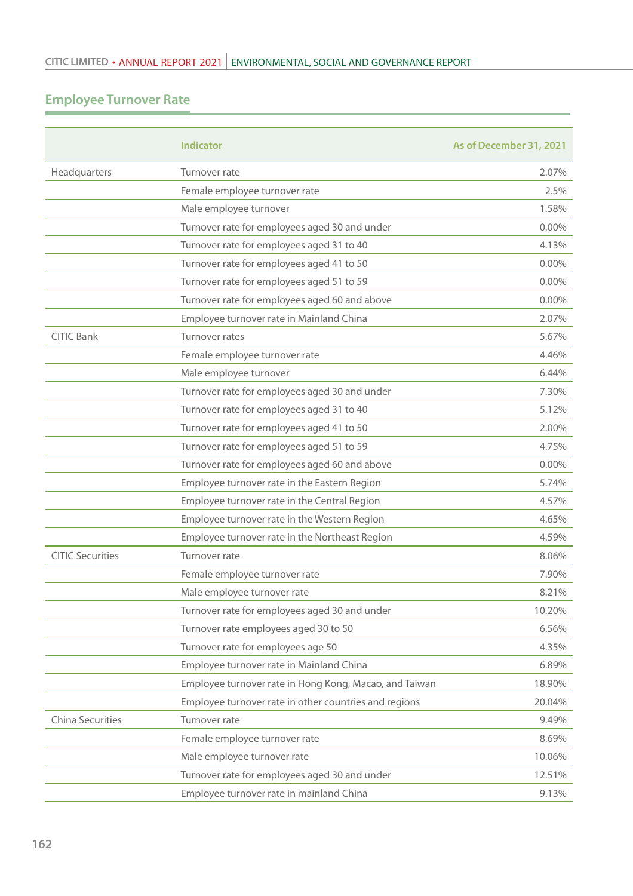# **Employee Turnover Rate**

|                         | Indicator                                              | As of December 31, 2021 |
|-------------------------|--------------------------------------------------------|-------------------------|
| Headquarters            | Turnover rate                                          | 2.07%                   |
|                         | Female employee turnover rate                          | 2.5%                    |
|                         | Male employee turnover                                 | 1.58%                   |
|                         | Turnover rate for employees aged 30 and under          | 0.00%                   |
|                         | Turnover rate for employees aged 31 to 40              | 4.13%                   |
|                         | Turnover rate for employees aged 41 to 50              | 0.00%                   |
|                         | Turnover rate for employees aged 51 to 59              | 0.00%                   |
|                         | Turnover rate for employees aged 60 and above          | 0.00%                   |
|                         | Employee turnover rate in Mainland China               | 2.07%                   |
| <b>CITIC Bank</b>       | <b>Turnover rates</b>                                  | 5.67%                   |
|                         | Female employee turnover rate                          | 4.46%                   |
|                         | Male employee turnover                                 | 6.44%                   |
|                         | Turnover rate for employees aged 30 and under          | 7.30%                   |
|                         | Turnover rate for employees aged 31 to 40              | 5.12%                   |
|                         | Turnover rate for employees aged 41 to 50              | 2.00%                   |
|                         | Turnover rate for employees aged 51 to 59              | 4.75%                   |
|                         | Turnover rate for employees aged 60 and above          | 0.00%                   |
|                         | Employee turnover rate in the Eastern Region           | 5.74%                   |
|                         | Employee turnover rate in the Central Region           | 4.57%                   |
|                         | Employee turnover rate in the Western Region           | 4.65%                   |
|                         | Employee turnover rate in the Northeast Region         | 4.59%                   |
| <b>CITIC Securities</b> | Turnover rate                                          | 8.06%                   |
|                         | Female employee turnover rate                          | 7.90%                   |
|                         | Male employee turnover rate                            | 8.21%                   |
|                         | Turnover rate for employees aged 30 and under          | 10.20%                  |
|                         | Turnover rate employees aged 30 to 50                  | 6.56%                   |
|                         | Turnover rate for employees age 50                     | 4.35%                   |
|                         | Employee turnover rate in Mainland China               | 6.89%                   |
|                         | Employee turnover rate in Hong Kong, Macao, and Taiwan | 18.90%                  |
|                         | Employee turnover rate in other countries and regions  | 20.04%                  |
| China Securities        | Turnover rate                                          | 9.49%                   |
|                         | Female employee turnover rate                          | 8.69%                   |
|                         | Male employee turnover rate                            | 10.06%                  |
|                         | Turnover rate for employees aged 30 and under          | 12.51%                  |
|                         | Employee turnover rate in mainland China               | 9.13%                   |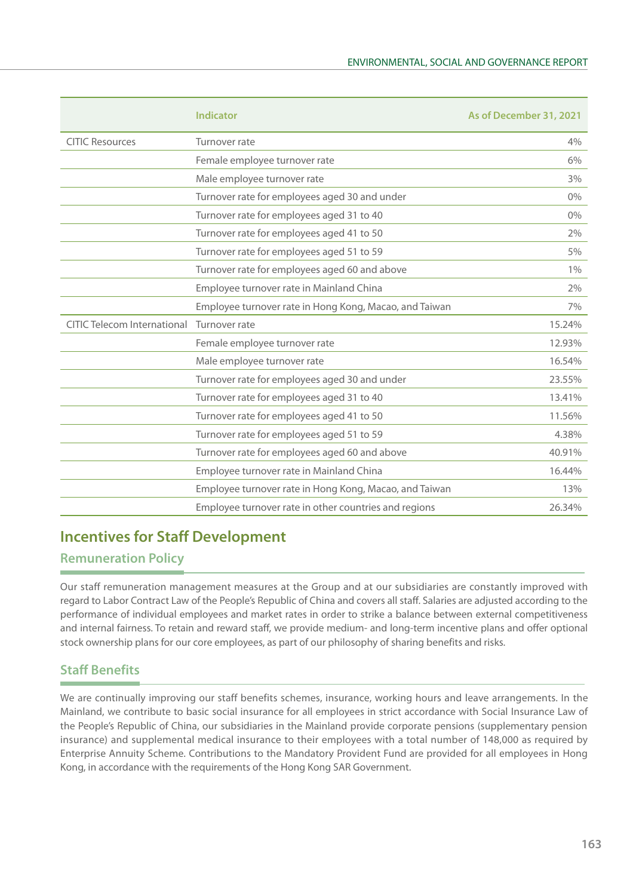|                                    | <b>Indicator</b>                                       | As of December 31, 2021 |
|------------------------------------|--------------------------------------------------------|-------------------------|
| <b>CITIC Resources</b>             | Turnover rate                                          | 4%                      |
|                                    | Female employee turnover rate                          | 6%                      |
|                                    | Male employee turnover rate                            | 3%                      |
|                                    | Turnover rate for employees aged 30 and under          | $0\%$                   |
|                                    | Turnover rate for employees aged 31 to 40              | $0\%$                   |
|                                    | Turnover rate for employees aged 41 to 50              | 2%                      |
|                                    | Turnover rate for employees aged 51 to 59              | 5%                      |
|                                    | Turnover rate for employees aged 60 and above          | 1%                      |
|                                    | Employee turnover rate in Mainland China               | 2%                      |
|                                    | Employee turnover rate in Hong Kong, Macao, and Taiwan | 7%                      |
| <b>CITIC Telecom International</b> | Turnover rate                                          | 15.24%                  |
|                                    | Female employee turnover rate                          | 12.93%                  |
|                                    | Male employee turnover rate                            | 16.54%                  |
|                                    | Turnover rate for employees aged 30 and under          | 23.55%                  |
|                                    | Turnover rate for employees aged 31 to 40              | 13.41%                  |
|                                    | Turnover rate for employees aged 41 to 50              | 11.56%                  |
|                                    | Turnover rate for employees aged 51 to 59              | 4.38%                   |
|                                    | Turnover rate for employees aged 60 and above          | 40.91%                  |
|                                    | Employee turnover rate in Mainland China               | 16.44%                  |
|                                    | Employee turnover rate in Hong Kong, Macao, and Taiwan | 13%                     |
|                                    | Employee turnover rate in other countries and regions  | 26.34%                  |

# **Incentives for Staff Development**

### **Remuneration Policy**

Our staff remuneration management measures at the Group and at our subsidiaries are constantly improved with regard to Labor Contract Law of the People's Republic of China and covers all staff. Salaries are adjusted according to the performance of individual employees and market rates in order to strike a balance between external competitiveness and internal fairness. To retain and reward staff, we provide medium- and long-term incentive plans and offer optional stock ownership plans for our core employees, as part of our philosophy of sharing benefits and risks.

# **Staff Benefits**

We are continually improving our staff benefits schemes, insurance, working hours and leave arrangements. In the Mainland, we contribute to basic social insurance for all employees in strict accordance with Social Insurance Law of the People's Republic of China, our subsidiaries in the Mainland provide corporate pensions (supplementary pension insurance) and supplemental medical insurance to their employees with a total number of 148,000 as required by Enterprise Annuity Scheme. Contributions to the Mandatory Provident Fund are provided for all employees in Hong Kong, in accordance with the requirements of the Hong Kong SAR Government.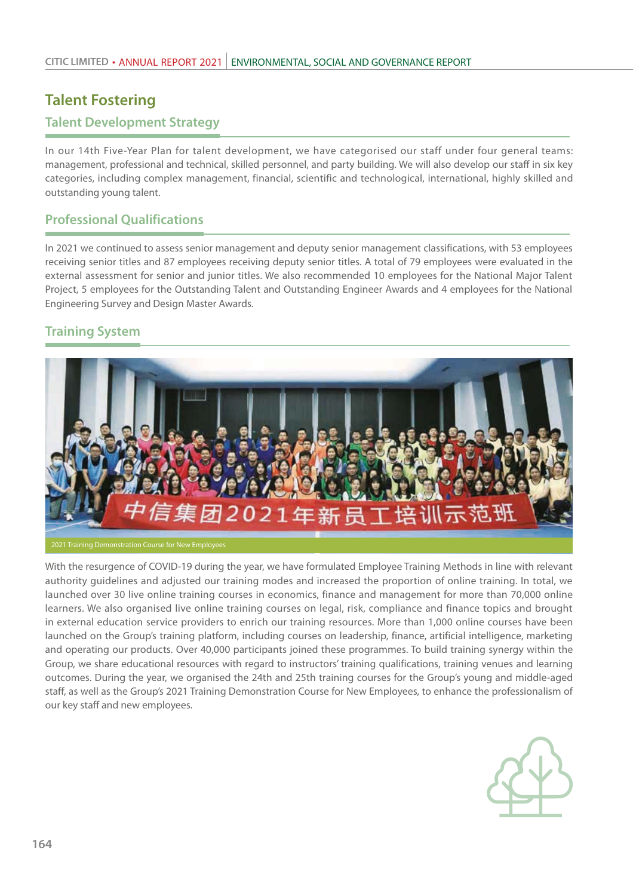# **Talent Fostering**

### **Talent Development Strategy**

In our 14th Five-Year Plan for talent development, we have categorised our staff under four general teams: management, professional and technical, skilled personnel, and party building. We will also develop our staff in six key categories, including complex management, financial, scientific and technological, international, highly skilled and outstanding young talent.

### **Professional Qualifications**

In 2021 we continued to assess senior management and deputy senior management classifications, with 53 employees receiving senior titles and 87 employees receiving deputy senior titles. A total of 79 employees were evaluated in the external assessment for senior and junior titles. We also recommended 10 employees for the National Major Talent Project, 5 employees for the Outstanding Talent and Outstanding Engineer Awards and 4 employees for the National Engineering Survey and Design Master Awards.

### **Training System**



With the resurgence of COVID-19 during the year, we have formulated Employee Training Methods in line with relevant authority guidelines and adjusted our training modes and increased the proportion of online training. In total, we launched over 30 live online training courses in economics, finance and management for more than 70,000 online learners. We also organised live online training courses on legal, risk, compliance and finance topics and brought in external education service providers to enrich our training resources. More than 1,000 online courses have been launched on the Group's training platform, including courses on leadership, finance, artificial intelligence, marketing and operating our products. Over 40,000 participants joined these programmes. To build training synergy within the Group, we share educational resources with regard to instructors' training qualifications, training venues and learning outcomes. During the year, we organised the 24th and 25th training courses for the Group's young and middle-aged staff, as well as the Group's 2021 Training Demonstration Course for New Employees, to enhance the professionalism of our key staff and new employees.

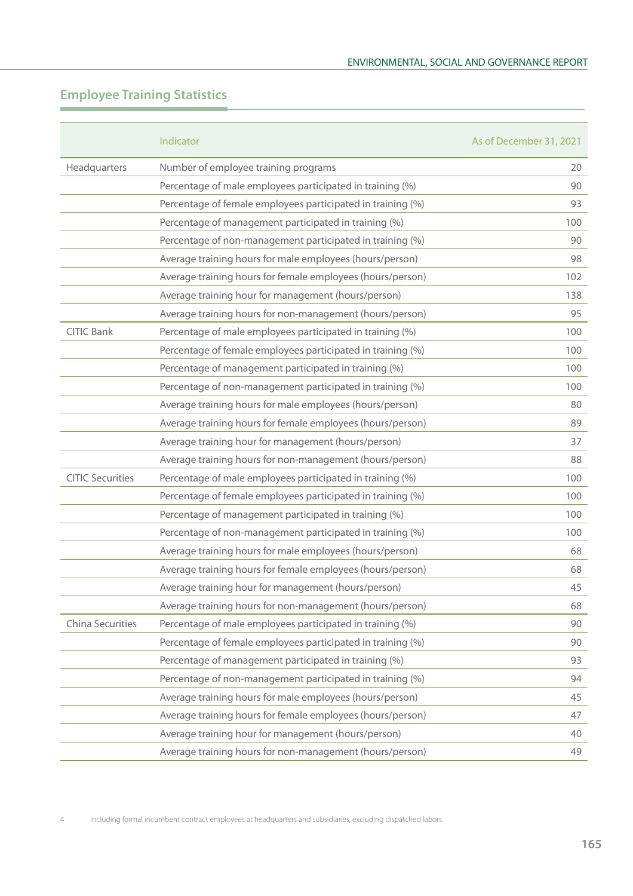# **Employee Training Statistics**

|                         | Indicator                                                   | As of December 31, 2021 |
|-------------------------|-------------------------------------------------------------|-------------------------|
| Headquarters            | Number of employee training programs                        | 20                      |
|                         | Percentage of male employees participated in training (%)   | 90                      |
|                         | Percentage of female employees participated in training (%) | 93                      |
|                         | Percentage of management participated in training (%)       | 100                     |
|                         | Percentage of non-management participated in training (%)   | 90                      |
|                         | Average training hours for male employees (hours/person)    | 98                      |
|                         | Average training hours for female employees (hours/person)  | 102                     |
|                         | Average training hour for management (hours/person)         | 138                     |
|                         | Average training hours for non-management (hours/person)    | 95                      |
| CITIC Bank              | Percentage of male employees participated in training (%)   | 100                     |
|                         | Percentage of female employees participated in training (%) | 100                     |
|                         | Percentage of management participated in training (%)       | 100                     |
|                         | Percentage of non-management participated in training (%)   | 100                     |
|                         | Average training hours for male employees (hours/person)    | 80                      |
|                         | Average training hours for female employees (hours/person)  | 89                      |
|                         | Average training hour for management (hours/person)         | 37                      |
|                         | Average training hours for non-management (hours/person)    | 88                      |
| <b>CITIC Securities</b> | Percentage of male employees participated in training (%)   | 100                     |
|                         | Percentage of female employees participated in training (%) | 100                     |
|                         | Percentage of management participated in training (%)       | 100                     |
|                         | Percentage of non-management participated in training (%)   | 100                     |
|                         | Average training hours for male employees (hours/person)    | 68                      |
|                         | Average training hours for female employees (hours/person)  | 68                      |
|                         | Average training hour for management (hours/person)         | 45                      |
|                         | Average training hours for non-management (hours/person)    | 68                      |
| China Securities        | Percentage of male employees participated in training (%)   | 90                      |
|                         | Percentage of female employees participated in training (%) | 90                      |
|                         | Percentage of management participated in training (%)       | 93                      |
|                         | Percentage of non-management participated in training (%)   | 94                      |
|                         | Average training hours for male employees (hours/person)    | 45                      |
|                         | Average training hours for female employees (hours/person)  | 47                      |
|                         | Average training hour for management (hours/person)         | 40                      |
|                         | Average training hours for non-management (hours/person)    | 49                      |

4 Including formal incumbent contract employees at headquarters and subsidiaries, excluding dispatched labors.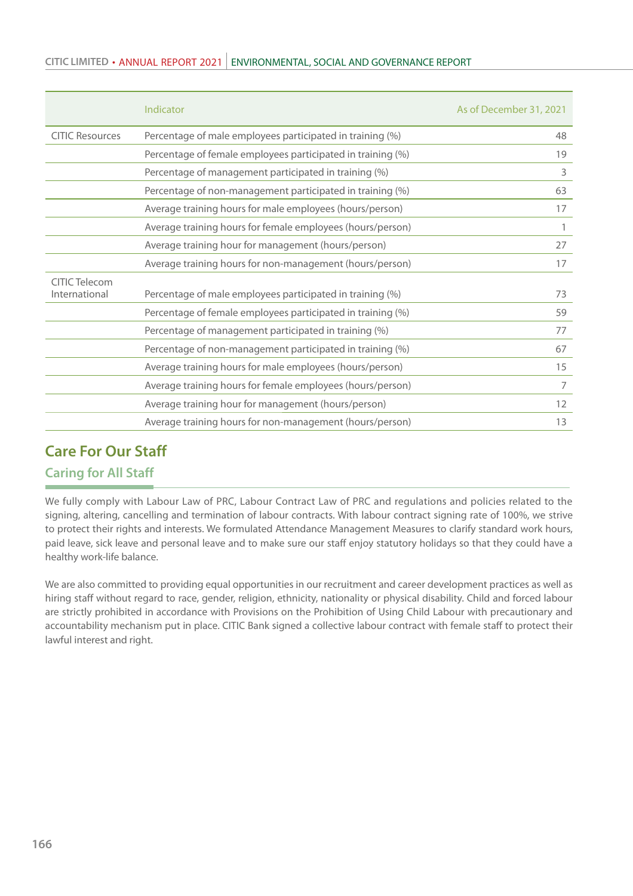### **CITIC LIMITED • ANNUAL REPORT 2021 ENVIRONMENTAL, SOCIAL AND GOVERNANCE REPORT**

|                                | Indicator                                                   | As of December 31, 2021 |
|--------------------------------|-------------------------------------------------------------|-------------------------|
| <b>CITIC Resources</b>         | Percentage of male employees participated in training (%)   | 48                      |
|                                | Percentage of female employees participated in training (%) | 19                      |
|                                | Percentage of management participated in training (%)       | 3                       |
|                                | Percentage of non-management participated in training (%)   | 63                      |
|                                | Average training hours for male employees (hours/person)    | 17                      |
|                                | Average training hours for female employees (hours/person)  | 1                       |
|                                | Average training hour for management (hours/person)         | 27                      |
|                                | Average training hours for non-management (hours/person)    | 17                      |
| CITIC Telecom<br>International | Percentage of male employees participated in training (%)   | 73                      |
|                                | Percentage of female employees participated in training (%) | 59                      |
|                                | Percentage of management participated in training (%)       | 77                      |
|                                | Percentage of non-management participated in training (%)   | 67                      |
|                                | Average training hours for male employees (hours/person)    | 15                      |
|                                | Average training hours for female employees (hours/person)  | $\overline{7}$          |
|                                | Average training hour for management (hours/person)         | 12                      |
|                                | Average training hours for non-management (hours/person)    | 13                      |

# **Care For Our Staff**

### **Caring for All Staff**

We fully comply with Labour Law of PRC, Labour Contract Law of PRC and regulations and policies related to the signing, altering, cancelling and termination of labour contracts. With labour contract signing rate of 100%, we strive to protect their rights and interests. We formulated Attendance Management Measures to clarify standard work hours, paid leave, sick leave and personal leave and to make sure our staff enjoy statutory holidays so that they could have a healthy work-life balance.

We are also committed to providing equal opportunities in our recruitment and career development practices as well as hiring staff without regard to race, gender, religion, ethnicity, nationality or physical disability. Child and forced labour are strictly prohibited in accordance with Provisions on the Prohibition of Using Child Labour with precautionary and accountability mechanism put in place. CITIC Bank signed a collective labour contract with female staff to protect their lawful interest and right.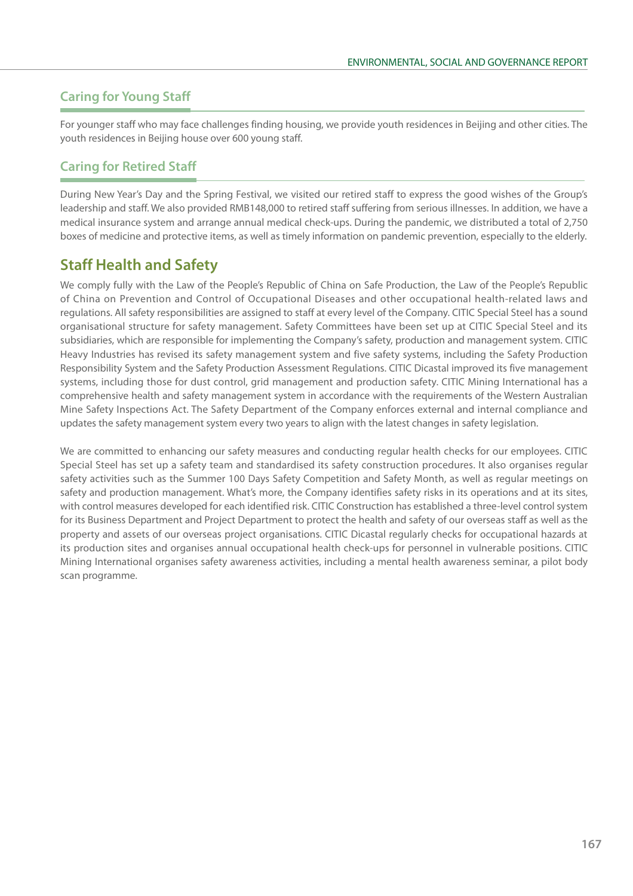# **Caring for Young Staff**

For younger staff who may face challenges finding housing, we provide youth residences in Beijing and other cities. The youth residences in Beijing house over 600 young staff.

# **Caring for Retired Staff**

During New Year's Day and the Spring Festival, we visited our retired staff to express the good wishes of the Group's leadership and staff. We also provided RMB148,000 to retired staff suffering from serious illnesses. In addition, we have a medical insurance system and arrange annual medical check-ups. During the pandemic, we distributed a total of 2,750 boxes of medicine and protective items, as well as timely information on pandemic prevention, especially to the elderly.

# **Staff Health and Safety**

We comply fully with the Law of the People's Republic of China on Safe Production, the Law of the People's Republic of China on Prevention and Control of Occupational Diseases and other occupational health-related laws and regulations. All safety responsibilities are assigned to staff at every level of the Company. CITIC Special Steel has a sound organisational structure for safety management. Safety Committees have been set up at CITIC Special Steel and its subsidiaries, which are responsible for implementing the Company's safety, production and management system. CITIC Heavy Industries has revised its safety management system and five safety systems, including the Safety Production Responsibility System and the Safety Production Assessment Regulations. CITIC Dicastal improved its five management systems, including those for dust control, grid management and production safety. CITIC Mining International has a comprehensive health and safety management system in accordance with the requirements of the Western Australian Mine Safety Inspections Act. The Safety Department of the Company enforces external and internal compliance and updates the safety management system every two years to align with the latest changes in safety legislation.

We are committed to enhancing our safety measures and conducting regular health checks for our employees. CITIC Special Steel has set up a safety team and standardised its safety construction procedures. It also organises regular safety activities such as the Summer 100 Days Safety Competition and Safety Month, as well as regular meetings on safety and production management. What's more, the Company identifies safety risks in its operations and at its sites, with control measures developed for each identified risk. CITIC Construction has established a three-level control system for its Business Department and Project Department to protect the health and safety of our overseas staff as well as the property and assets of our overseas project organisations. CITIC Dicastal regularly checks for occupational hazards at its production sites and organises annual occupational health check-ups for personnel in vulnerable positions. CITIC Mining International organises safety awareness activities, including a mental health awareness seminar, a pilot body scan programme.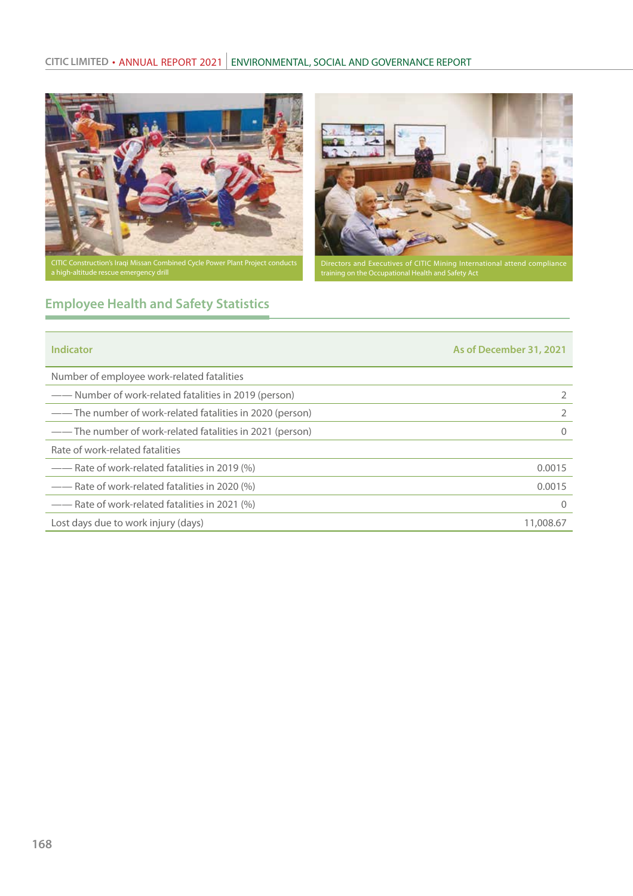# CITIC LIMITED • ANNUAL REPORT 2021 | ENVIRONMENTAL, SOCIAL AND GOVERNANCE REPORT



CITIC Construction's Iraqi Missan Combined Cycle Power Plant Project conducts



Directors and Executives of CITIC Mining International attend compliance training on the Occupational Health and Safety Act

# **Employee Health and Safety Statistics**

| Indicator                                                  | As of December 31, 2021 |
|------------------------------------------------------------|-------------------------|
| Number of employee work-related fatalities                 |                         |
| - Number of work-related fatalities in 2019 (person)       |                         |
| —— The number of work-related fatalities in 2020 (person)  |                         |
| --- The number of work-related fatalities in 2021 (person) | 0                       |
| Rate of work-related fatalities                            |                         |
| - Rate of work-related fatalities in 2019 (%)              | 0.0015                  |
| - Rate of work-related fatalities in 2020 (%)              | 0.0015                  |
| - Rate of work-related fatalities in 2021 (%)              | $\Omega$                |
| Lost days due to work injury (days)                        | 11,008.67               |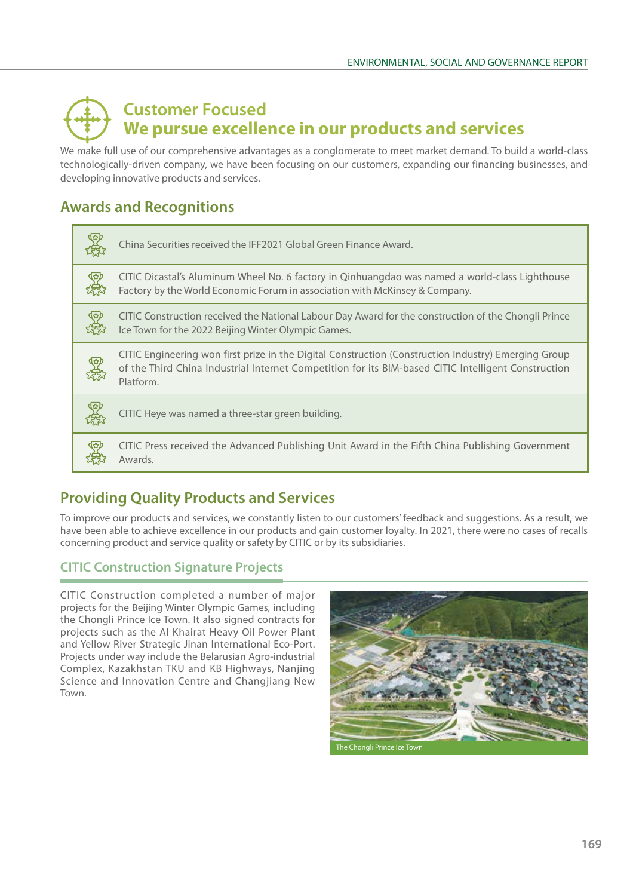# **Customer Focused We pursue excellence in our products and services**

We make full use of our comprehensive advantages as a conglomerate to meet market demand. To build a world-class technologically-driven company, we have been focusing on our customers, expanding our financing businesses, and developing innovative products and services.

# **Awards and Recognitions**

|     | China Securities received the IFF2021 Global Green Finance Award.                                                                                                                                                        |
|-----|--------------------------------------------------------------------------------------------------------------------------------------------------------------------------------------------------------------------------|
| ৎশু | CITIC Dicastal's Aluminum Wheel No. 6 factory in Qinhuangdao was named a world-class Lighthouse<br>Factory by the World Economic Forum in association with McKinsey & Company.                                           |
|     | CITIC Construction received the National Labour Day Award for the construction of the Chongli Prince<br>Ice Town for the 2022 Beijing Winter Olympic Games.                                                              |
|     | CITIC Engineering won first prize in the Digital Construction (Construction Industry) Emerging Group<br>of the Third China Industrial Internet Competition for its BIM-based CITIC Intelligent Construction<br>Platform. |
|     | CITIC Heye was named a three-star green building.                                                                                                                                                                        |
|     | CITIC Press received the Advanced Publishing Unit Award in the Fifth China Publishing Government<br>Awards.                                                                                                              |

# **Providing Quality Products and Services**

To improve our products and services, we constantly listen to our customers' feedback and suggestions. As a result, we have been able to achieve excellence in our products and gain customer loyalty. In 2021, there were no cases of recalls concerning product and service quality or safety by CITIC or by its subsidiaries.

### **CITIC Construction Signature Projects**

CITIC Construction completed a number of major projects for the Beijing Winter Olympic Games, including the Chongli Prince Ice Town. It also signed contracts for projects such as the AI Khairat Heavy Oil Power Plant and Yellow River Strategic Jinan International Eco-Port. Projects under way include the Belarusian Agro-industrial Complex, Kazakhstan TKU and KB Highways, Nanjing Science and Innovation Centre and Changjiang New Town.

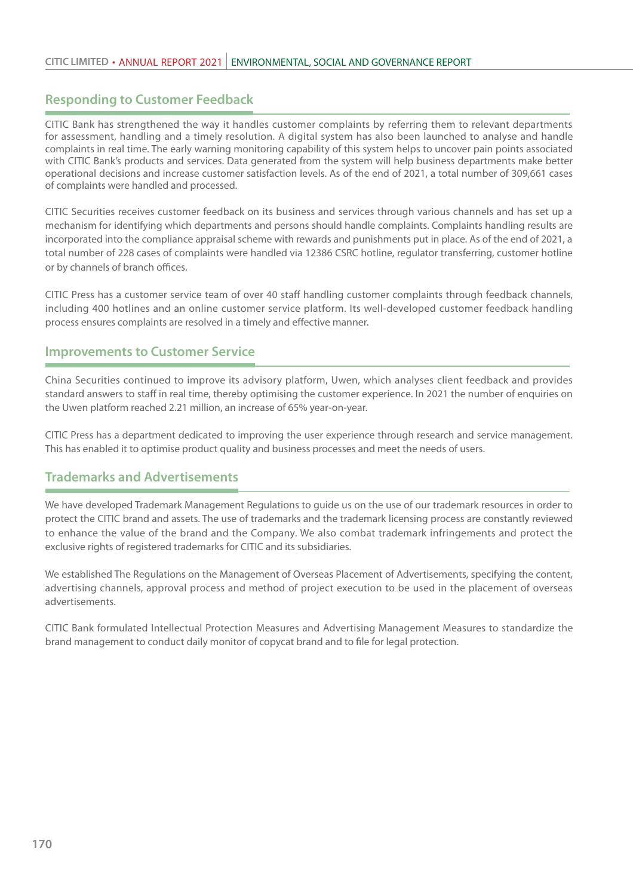### **Responding to Customer Feedback**

CITIC Bank has strengthened the way it handles customer complaints by referring them to relevant departments for assessment, handling and a timely resolution. A digital system has also been launched to analyse and handle complaints in real time. The early warning monitoring capability of this system helps to uncover pain points associated with CITIC Bank's products and services. Data generated from the system will help business departments make better operational decisions and increase customer satisfaction levels. As of the end of 2021, a total number of 309,661 cases of complaints were handled and processed.

CITIC Securities receives customer feedback on its business and services through various channels and has set up a mechanism for identifying which departments and persons should handle complaints. Complaints handling results are incorporated into the compliance appraisal scheme with rewards and punishments put in place. As of the end of 2021, a total number of 228 cases of complaints were handled via 12386 CSRC hotline, regulator transferring, customer hotline or by channels of branch offices.

CITIC Press has a customer service team of over 40 staff handling customer complaints through feedback channels, including 400 hotlines and an online customer service platform. Its well-developed customer feedback handling process ensures complaints are resolved in a timely and effective manner.

### **Improvements to Customer Service**

China Securities continued to improve its advisory platform, Uwen, which analyses client feedback and provides standard answers to staff in real time, thereby optimising the customer experience. In 2021 the number of enquiries on the Uwen platform reached 2.21 million, an increase of 65% year-on-year.

CITIC Press has a department dedicated to improving the user experience through research and service management. This has enabled it to optimise product quality and business processes and meet the needs of users.

### **Trademarks and Advertisements**

We have developed Trademark Management Regulations to guide us on the use of our trademark resources in order to protect the CITIC brand and assets. The use of trademarks and the trademark licensing process are constantly reviewed to enhance the value of the brand and the Company. We also combat trademark infringements and protect the exclusive rights of registered trademarks for CITIC and its subsidiaries.

We established The Regulations on the Management of Overseas Placement of Advertisements, specifying the content, advertising channels, approval process and method of project execution to be used in the placement of overseas advertisements.

CITIC Bank formulated Intellectual Protection Measures and Advertising Management Measures to standardize the brand management to conduct daily monitor of copycat brand and to file for legal protection.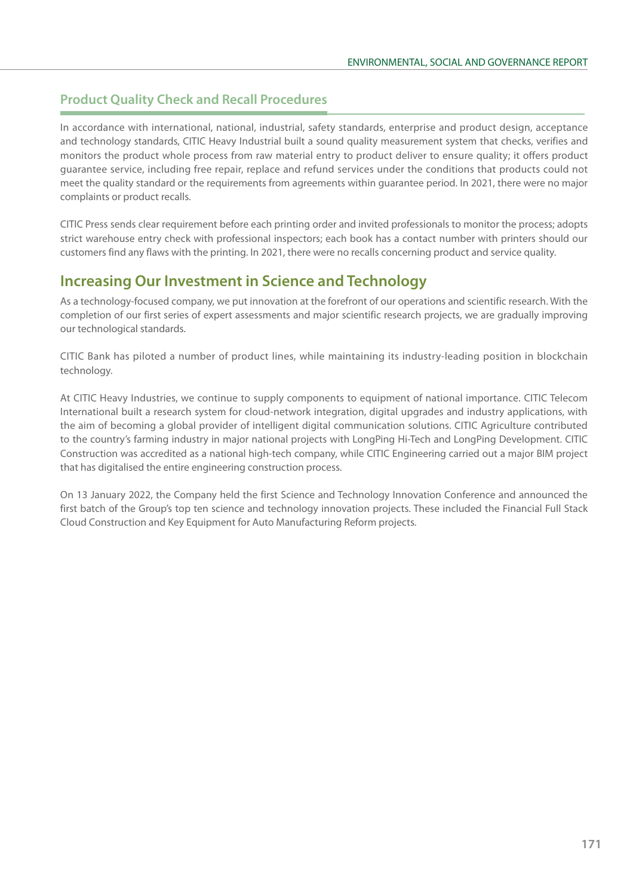## **Product Quality Check and Recall Procedures**

In accordance with international, national, industrial, safety standards, enterprise and product design, acceptance and technology standards, CITIC Heavy Industrial built a sound quality measurement system that checks, verifies and monitors the product whole process from raw material entry to product deliver to ensure quality; it offers product guarantee service, including free repair, replace and refund services under the conditions that products could not meet the quality standard or the requirements from agreements within guarantee period. In 2021, there were no major complaints or product recalls.

CITIC Press sends clear requirement before each printing order and invited professionals to monitor the process; adopts strict warehouse entry check with professional inspectors; each book has a contact number with printers should our customers find any flaws with the printing. In 2021, there were no recalls concerning product and service quality.

# **Increasing Our Investment in Science and Technology**

As a technology-focused company, we put innovation at the forefront of our operations and scientific research. With the completion of our first series of expert assessments and major scientific research projects, we are gradually improving our technological standards.

CITIC Bank has piloted a number of product lines, while maintaining its industry-leading position in blockchain technology.

At CITIC Heavy Industries, we continue to supply components to equipment of national importance. CITIC Telecom International built a research system for cloud-network integration, digital upgrades and industry applications, with the aim of becoming a global provider of intelligent digital communication solutions. CITIC Agriculture contributed to the country's farming industry in major national projects with LongPing Hi-Tech and LongPing Development. CITIC Construction was accredited as a national high-tech company, while CITIC Engineering carried out a major BIM project that has digitalised the entire engineering construction process.

On 13 January 2022, the Company held the first Science and Technology Innovation Conference and announced the first batch of the Group's top ten science and technology innovation projects. These included the Financial Full Stack Cloud Construction and Key Equipment for Auto Manufacturing Reform projects.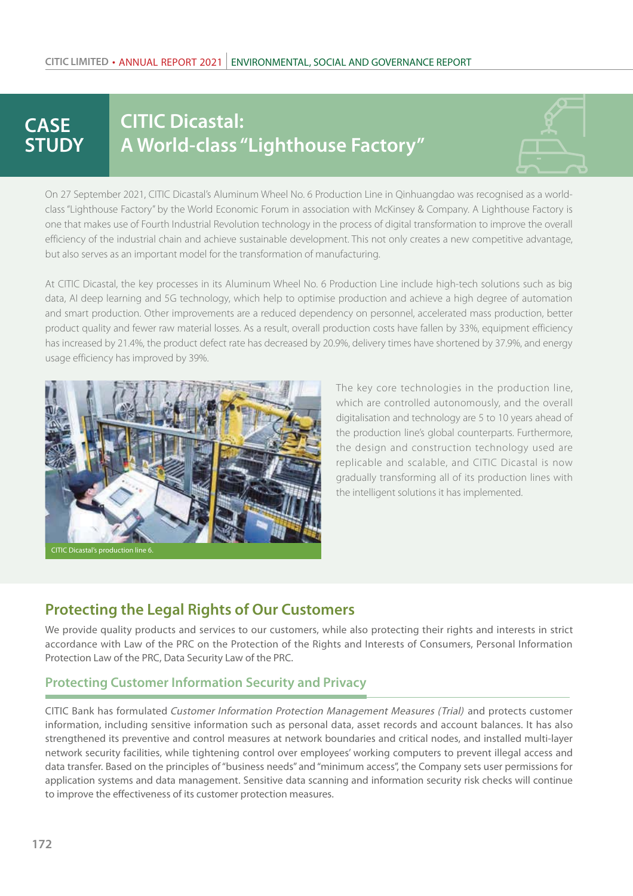# **CASE STUDY**

# **CITIC Dicastal: A World-class "Lighthouse Factory"**



On 27 September 2021, CITIC Dicastal's Aluminum Wheel No. 6 Production Line in Qinhuangdao was recognised as a worldclass "Lighthouse Factory" by the World Economic Forum in association with McKinsey & Company. A Lighthouse Factory is one that makes use of Fourth Industrial Revolution technology in the process of digital transformation to improve the overall efficiency of the industrial chain and achieve sustainable development. This not only creates a new competitive advantage, but also serves as an important model for the transformation of manufacturing.

At CITIC Dicastal, the key processes in its Aluminum Wheel No. 6 Production Line include high-tech solutions such as big data, AI deep learning and 5G technology, which help to optimise production and achieve a high degree of automation and smart production. Other improvements are a reduced dependency on personnel, accelerated mass production, better product quality and fewer raw material losses. As a result, overall production costs have fallen by 33%, equipment efficiency has increased by 21.4%, the product defect rate has decreased by 20.9%, delivery times have shortened by 37.9%, and energy usage efficiency has improved by 39%.



CITIC Dicastal's production line 6.

The key core technologies in the production line, which are controlled autonomously, and the overall digitalisation and technology are 5 to 10 years ahead of the production line's global counterparts. Furthermore, the design and construction technology used are replicable and scalable, and CITIC Dicastal is now gradually transforming all of its production lines with the intelligent solutions it has implemented.

# **Protecting the Legal Rights of Our Customers**

We provide quality products and services to our customers, while also protecting their rights and interests in strict accordance with Law of the PRC on the Protection of the Rights and Interests of Consumers, Personal Information Protection Law of the PRC, Data Security Law of the PRC.

### **Protecting Customer Information Security and Privacy**

CITIC Bank has formulated Customer Information Protection Management Measures (Trial) and protects customer information, including sensitive information such as personal data, asset records and account balances. It has also strengthened its preventive and control measures at network boundaries and critical nodes, and installed multi-layer network security facilities, while tightening control over employees' working computers to prevent illegal access and data transfer. Based on the principles of "business needs" and "minimum access", the Company sets user permissions for application systems and data management. Sensitive data scanning and information security risk checks will continue to improve the effectiveness of its customer protection measures.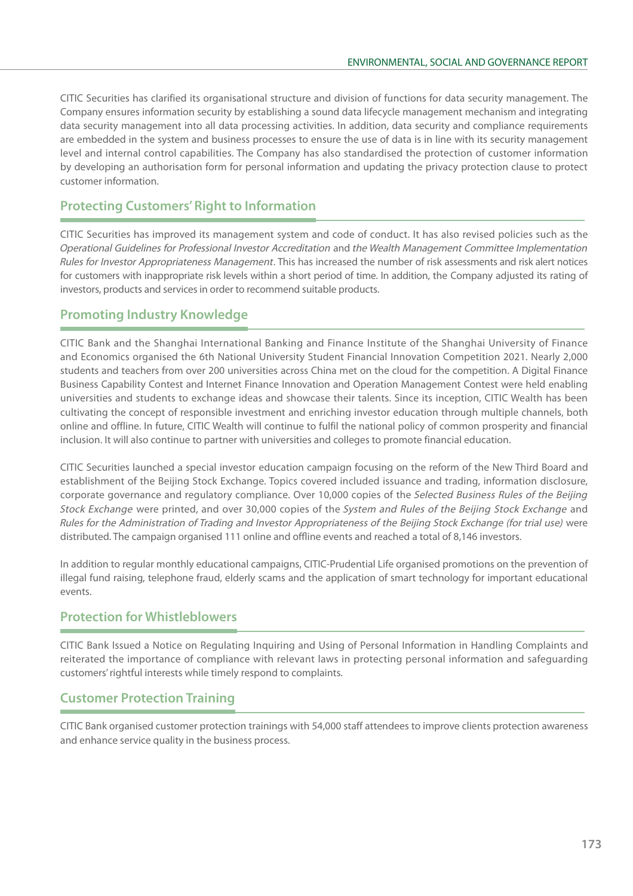CITIC Securities has clarified its organisational structure and division of functions for data security management. The Company ensures information security by establishing a sound data lifecycle management mechanism and integrating data security management into all data processing activities. In addition, data security and compliance requirements are embedded in the system and business processes to ensure the use of data is in line with its security management level and internal control capabilities. The Company has also standardised the protection of customer information by developing an authorisation form for personal information and updating the privacy protection clause to protect customer information.

### **Protecting Customers' Right to Information**

CITIC Securities has improved its management system and code of conduct. It has also revised policies such as the Operational Guidelines for Professional Investor Accreditation and the Wealth Management Committee Implementation Rules for Investor Appropriateness Management. This has increased the number of risk assessments and risk alert notices for customers with inappropriate risk levels within a short period of time. In addition, the Company adjusted its rating of investors, products and services in order to recommend suitable products.

### **Promoting Industry Knowledge**

CITIC Bank and the Shanghai International Banking and Finance Institute of the Shanghai University of Finance and Economics organised the 6th National University Student Financial Innovation Competition 2021. Nearly 2,000 students and teachers from over 200 universities across China met on the cloud for the competition. A Digital Finance Business Capability Contest and Internet Finance Innovation and Operation Management Contest were held enabling universities and students to exchange ideas and showcase their talents. Since its inception, CITIC Wealth has been cultivating the concept of responsible investment and enriching investor education through multiple channels, both online and offline. In future, CITIC Wealth will continue to fulfil the national policy of common prosperity and financial inclusion. It will also continue to partner with universities and colleges to promote financial education.

CITIC Securities launched a special investor education campaign focusing on the reform of the New Third Board and establishment of the Beijing Stock Exchange. Topics covered included issuance and trading, information disclosure, corporate governance and regulatory compliance. Over 10,000 copies of the Selected Business Rules of the Beijing Stock Exchange were printed, and over 30,000 copies of the System and Rules of the Beijing Stock Exchange and Rules for the Administration of Trading and Investor Appropriateness of the Beijing Stock Exchange (for trial use) were distributed. The campaign organised 111 online and offline events and reached a total of 8,146 investors.

In addition to regular monthly educational campaigns, CITIC-Prudential Life organised promotions on the prevention of illegal fund raising, telephone fraud, elderly scams and the application of smart technology for important educational events.

### **Protection for Whistleblowers**

CITIC Bank Issued a Notice on Regulating Inquiring and Using of Personal Information in Handling Complaints and reiterated the importance of compliance with relevant laws in protecting personal information and safeguarding customers' rightful interests while timely respond to complaints.

# **Customer Protection Training**

CITIC Bank organised customer protection trainings with 54,000 staff attendees to improve clients protection awareness and enhance service quality in the business process.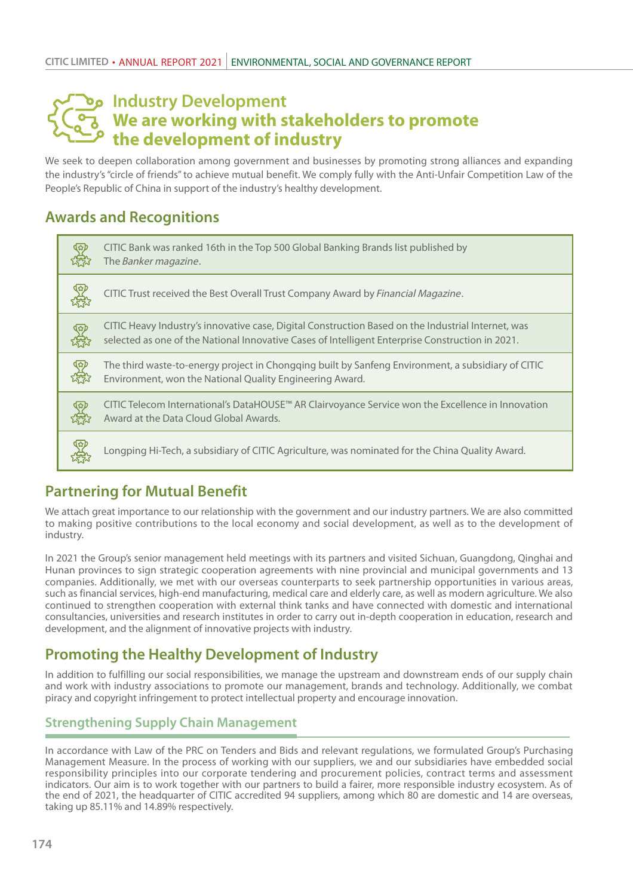# **Industry Development We are working with stakeholders to promote the development of industry**

We seek to deepen collaboration among government and businesses by promoting strong alliances and expanding the industry's "circle of friends" to achieve mutual benefit. We comply fully with the Anti-Unfair Competition Law of the People's Republic of China in support of the industry's healthy development.

# **Awards and Recognitions**

|       | CITIC Bank was ranked 16th in the Top 500 Global Banking Brands list published by<br>The Banker magazine.                                                                                              |
|-------|--------------------------------------------------------------------------------------------------------------------------------------------------------------------------------------------------------|
|       | CITIC Trust received the Best Overall Trust Company Award by Financial Magazine.                                                                                                                       |
| (☆)   | CITIC Heavy Industry's innovative case, Digital Construction Based on the Industrial Internet, was<br>selected as one of the National Innovative Cases of Intelligent Enterprise Construction in 2021. |
| ক্ষ   | The third waste-to-energy project in Chongging built by Sanfeng Environment, a subsidiary of CITIC<br>Environment, won the National Quality Engineering Award.                                         |
| ক্ষ্য | CITIC Telecom International's DataHOUSE <sup>™</sup> AR Clairvoyance Service won the Excellence in Innovation<br>Award at the Data Cloud Global Awards.                                                |
|       | Longping Hi-Tech, a subsidiary of CITIC Agriculture, was nominated for the China Quality Award.                                                                                                        |

# **Partnering for Mutual Benefit**

We attach great importance to our relationship with the government and our industry partners. We are also committed to making positive contributions to the local economy and social development, as well as to the development of industry.

In 2021 the Group's senior management held meetings with its partners and visited Sichuan, Guangdong, Qinghai and Hunan provinces to sign strategic cooperation agreements with nine provincial and municipal governments and 13 companies. Additionally, we met with our overseas counterparts to seek partnership opportunities in various areas, such as financial services, high-end manufacturing, medical care and elderly care, as well as modern agriculture. We also continued to strengthen cooperation with external think tanks and have connected with domestic and international consultancies, universities and research institutes in order to carry out in-depth cooperation in education, research and development, and the alignment of innovative projects with industry.

# **Promoting the Healthy Development of Industry**

In addition to fulfilling our social responsibilities, we manage the upstream and downstream ends of our supply chain and work with industry associations to promote our management, brands and technology. Additionally, we combat piracy and copyright infringement to protect intellectual property and encourage innovation.

# **Strengthening Supply Chain Management**

In accordance with Law of the PRC on Tenders and Bids and relevant regulations, we formulated Group's Purchasing Management Measure. In the process of working with our suppliers, we and our subsidiaries have embedded social responsibility principles into our corporate tendering and procurement policies, contract terms and assessment indicators. Our aim is to work together with our partners to build a fairer, more responsible industry ecosystem. As of the end of 2021, the headquarter of CITIC accredited 94 suppliers, among which 80 are domestic and 14 are overseas, taking up 85.11% and 14.89% respectively.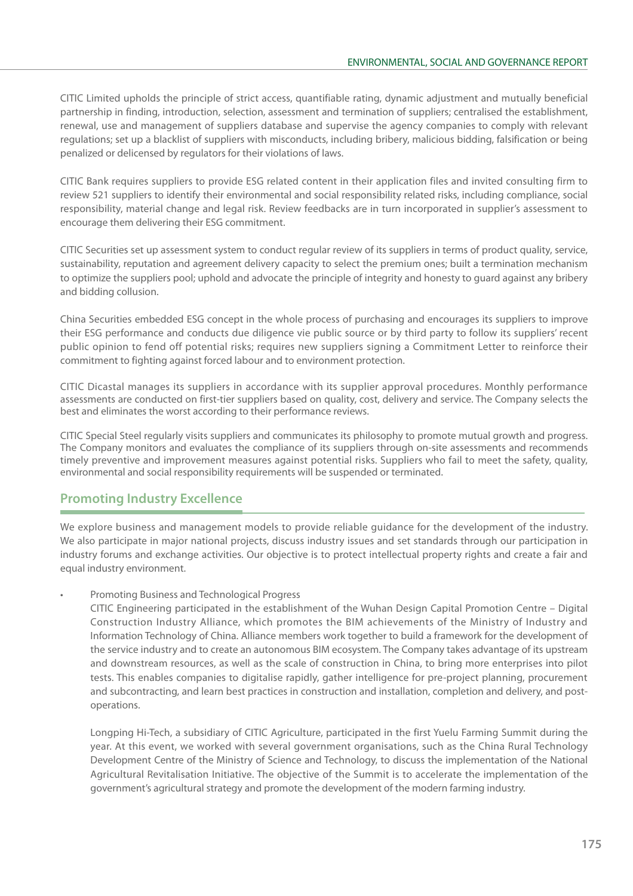CITIC Limited upholds the principle of strict access, quantifiable rating, dynamic adjustment and mutually beneficial partnership in finding, introduction, selection, assessment and termination of suppliers; centralised the establishment, renewal, use and management of suppliers database and supervise the agency companies to comply with relevant regulations; set up a blacklist of suppliers with misconducts, including bribery, malicious bidding, falsification or being penalized or delicensed by regulators for their violations of laws.

CITIC Bank requires suppliers to provide ESG related content in their application files and invited consulting firm to review 521 suppliers to identify their environmental and social responsibility related risks, including compliance, social responsibility, material change and legal risk. Review feedbacks are in turn incorporated in supplier's assessment to encourage them delivering their ESG commitment.

CITIC Securities set up assessment system to conduct regular review of its suppliers in terms of product quality, service, sustainability, reputation and agreement delivery capacity to select the premium ones; built a termination mechanism to optimize the suppliers pool; uphold and advocate the principle of integrity and honesty to guard against any bribery and bidding collusion.

China Securities embedded ESG concept in the whole process of purchasing and encourages its suppliers to improve their ESG performance and conducts due diligence vie public source or by third party to follow its suppliers' recent public opinion to fend off potential risks; requires new suppliers signing a Commitment Letter to reinforce their commitment to fighting against forced labour and to environment protection.

CITIC Dicastal manages its suppliers in accordance with its supplier approval procedures. Monthly performance assessments are conducted on first-tier suppliers based on quality, cost, delivery and service. The Company selects the best and eliminates the worst according to their performance reviews.

CITIC Special Steel regularly visits suppliers and communicates its philosophy to promote mutual growth and progress. The Company monitors and evaluates the compliance of its suppliers through on-site assessments and recommends timely preventive and improvement measures against potential risks. Suppliers who fail to meet the safety, quality, environmental and social responsibility requirements will be suspended or terminated.

### **Promoting Industry Excellence**

We explore business and management models to provide reliable guidance for the development of the industry. We also participate in major national projects, discuss industry issues and set standards through our participation in industry forums and exchange activities. Our objective is to protect intellectual property rights and create a fair and equal industry environment.

### • Promoting Business and Technological Progress

CITIC Engineering participated in the establishment of the Wuhan Design Capital Promotion Centre – Digital Construction Industry Alliance, which promotes the BIM achievements of the Ministry of Industry and Information Technology of China. Alliance members work together to build a framework for the development of the service industry and to create an autonomous BIM ecosystem. The Company takes advantage of its upstream and downstream resources, as well as the scale of construction in China, to bring more enterprises into pilot tests. This enables companies to digitalise rapidly, gather intelligence for pre-project planning, procurement and subcontracting, and learn best practices in construction and installation, completion and delivery, and postoperations.

Longping Hi-Tech, a subsidiary of CITIC Agriculture, participated in the first Yuelu Farming Summit during the year. At this event, we worked with several government organisations, such as the China Rural Technology Development Centre of the Ministry of Science and Technology, to discuss the implementation of the National Agricultural Revitalisation Initiative. The objective of the Summit is to accelerate the implementation of the government's agricultural strategy and promote the development of the modern farming industry.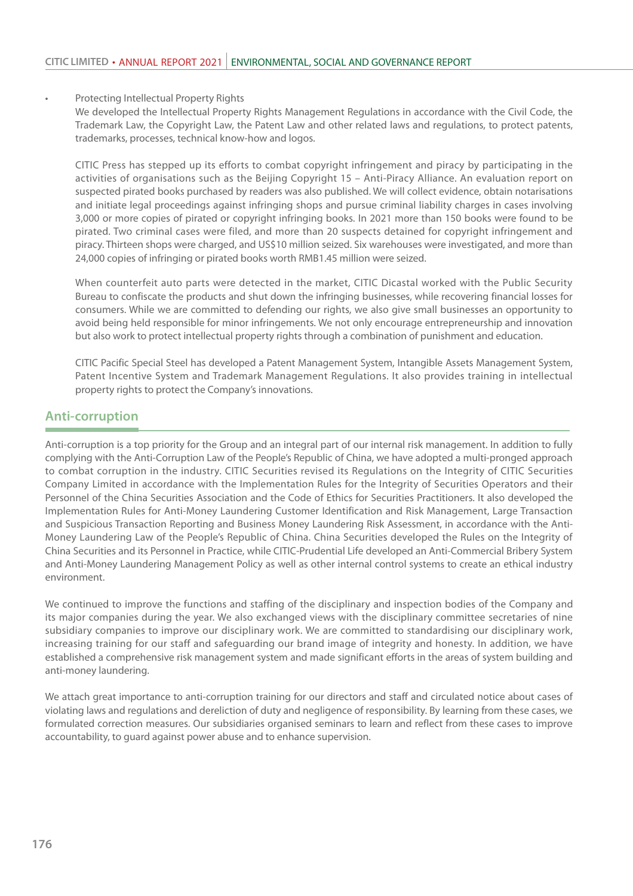• Protecting Intellectual Property Rights

We developed the Intellectual Property Rights Management Regulations in accordance with the Civil Code, the Trademark Law, the Copyright Law, the Patent Law and other related laws and regulations, to protect patents, trademarks, processes, technical know-how and logos.

CITIC Press has stepped up its efforts to combat copyright infringement and piracy by participating in the activities of organisations such as the Beijing Copyright 15 – Anti-Piracy Alliance. An evaluation report on suspected pirated books purchased by readers was also published. We will collect evidence, obtain notarisations and initiate legal proceedings against infringing shops and pursue criminal liability charges in cases involving 3,000 or more copies of pirated or copyright infringing books. In 2021 more than 150 books were found to be pirated. Two criminal cases were filed, and more than 20 suspects detained for copyright infringement and piracy. Thirteen shops were charged, and US\$10 million seized. Six warehouses were investigated, and more than 24,000 copies of infringing or pirated books worth RMB1.45 million were seized.

When counterfeit auto parts were detected in the market, CITIC Dicastal worked with the Public Security Bureau to confiscate the products and shut down the infringing businesses, while recovering financial losses for consumers. While we are committed to defending our rights, we also give small businesses an opportunity to avoid being held responsible for minor infringements. We not only encourage entrepreneurship and innovation but also work to protect intellectual property rights through a combination of punishment and education.

CITIC Pacific Special Steel has developed a Patent Management System, Intangible Assets Management System, Patent Incentive System and Trademark Management Regulations. It also provides training in intellectual property rights to protect the Company's innovations.

### **Anti-corruption**

Anti-corruption is a top priority for the Group and an integral part of our internal risk management. In addition to fully complying with the Anti-Corruption Law of the People's Republic of China, we have adopted a multi-pronged approach to combat corruption in the industry. CITIC Securities revised its Regulations on the Integrity of CITIC Securities Company Limited in accordance with the Implementation Rules for the Integrity of Securities Operators and their Personnel of the China Securities Association and the Code of Ethics for Securities Practitioners. It also developed the Implementation Rules for Anti-Money Laundering Customer Identification and Risk Management, Large Transaction and Suspicious Transaction Reporting and Business Money Laundering Risk Assessment, in accordance with the Anti-Money Laundering Law of the People's Republic of China. China Securities developed the Rules on the Integrity of China Securities and its Personnel in Practice, while CITIC-Prudential Life developed an Anti-Commercial Bribery System and Anti-Money Laundering Management Policy as well as other internal control systems to create an ethical industry environment.

We continued to improve the functions and staffing of the disciplinary and inspection bodies of the Company and its major companies during the year. We also exchanged views with the disciplinary committee secretaries of nine subsidiary companies to improve our disciplinary work. We are committed to standardising our disciplinary work, increasing training for our staff and safeguarding our brand image of integrity and honesty. In addition, we have established a comprehensive risk management system and made significant efforts in the areas of system building and anti-money laundering.

We attach great importance to anti-corruption training for our directors and staff and circulated notice about cases of violating laws and regulations and dereliction of duty and negligence of responsibility. By learning from these cases, we formulated correction measures. Our subsidiaries organised seminars to learn and reflect from these cases to improve accountability, to guard against power abuse and to enhance supervision.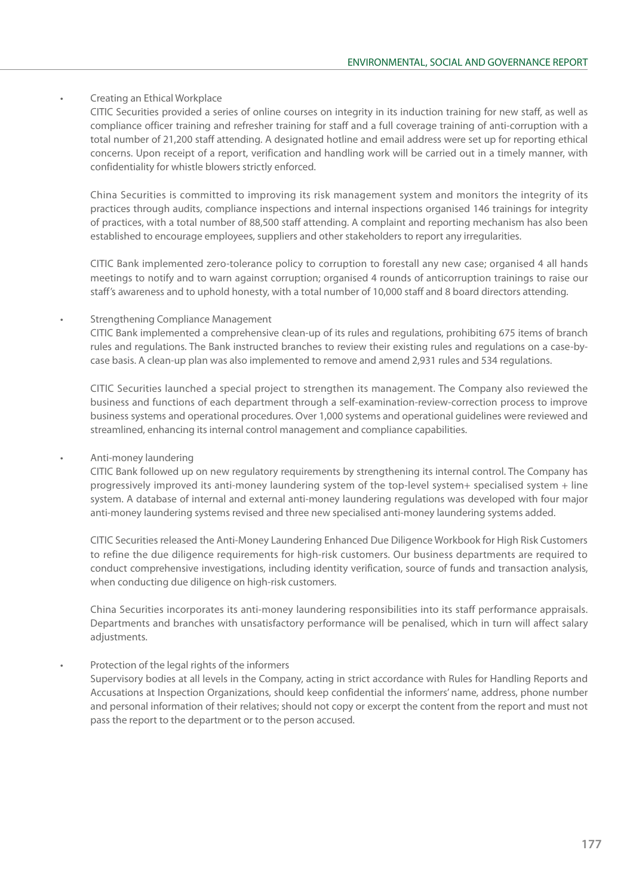#### • Creating an Ethical Workplace

CITIC Securities provided a series of online courses on integrity in its induction training for new staff, as well as compliance officer training and refresher training for staff and a full coverage training of anti-corruption with a total number of 21,200 staff attending. A designated hotline and email address were set up for reporting ethical concerns. Upon receipt of a report, verification and handling work will be carried out in a timely manner, with confidentiality for whistle blowers strictly enforced.

China Securities is committed to improving its risk management system and monitors the integrity of its practices through audits, compliance inspections and internal inspections organised 146 trainings for integrity of practices, with a total number of 88,500 staff attending. A complaint and reporting mechanism has also been established to encourage employees, suppliers and other stakeholders to report any irregularities.

CITIC Bank implemented zero-tolerance policy to corruption to forestall any new case; organised 4 all hands meetings to notify and to warn against corruption; organised 4 rounds of anticorruption trainings to raise our staff's awareness and to uphold honesty, with a total number of 10,000 staff and 8 board directors attending.

#### Strengthening Compliance Management

CITIC Bank implemented a comprehensive clean-up of its rules and regulations, prohibiting 675 items of branch rules and regulations. The Bank instructed branches to review their existing rules and regulations on a case-bycase basis. A clean-up plan was also implemented to remove and amend 2,931 rules and 534 regulations.

CITIC Securities launched a special project to strengthen its management. The Company also reviewed the business and functions of each department through a self-examination-review-correction process to improve business systems and operational procedures. Over 1,000 systems and operational guidelines were reviewed and streamlined, enhancing its internal control management and compliance capabilities.

#### • Anti-money laundering

CITIC Bank followed up on new regulatory requirements by strengthening its internal control. The Company has progressively improved its anti-money laundering system of the top-level system+ specialised system + line system. A database of internal and external anti-money laundering regulations was developed with four major anti-money laundering systems revised and three new specialised anti-money laundering systems added.

CITIC Securities released the Anti-Money Laundering Enhanced Due Diligence Workbook for High Risk Customers to refine the due diligence requirements for high-risk customers. Our business departments are required to conduct comprehensive investigations, including identity verification, source of funds and transaction analysis, when conducting due diligence on high-risk customers.

China Securities incorporates its anti-money laundering responsibilities into its staff performance appraisals. Departments and branches with unsatisfactory performance will be penalised, which in turn will affect salary adjustments.

### Protection of the legal rights of the informers

Supervisory bodies at all levels in the Company, acting in strict accordance with Rules for Handling Reports and Accusations at Inspection Organizations, should keep confidential the informers' name, address, phone number and personal information of their relatives; should not copy or excerpt the content from the report and must not pass the report to the department or to the person accused.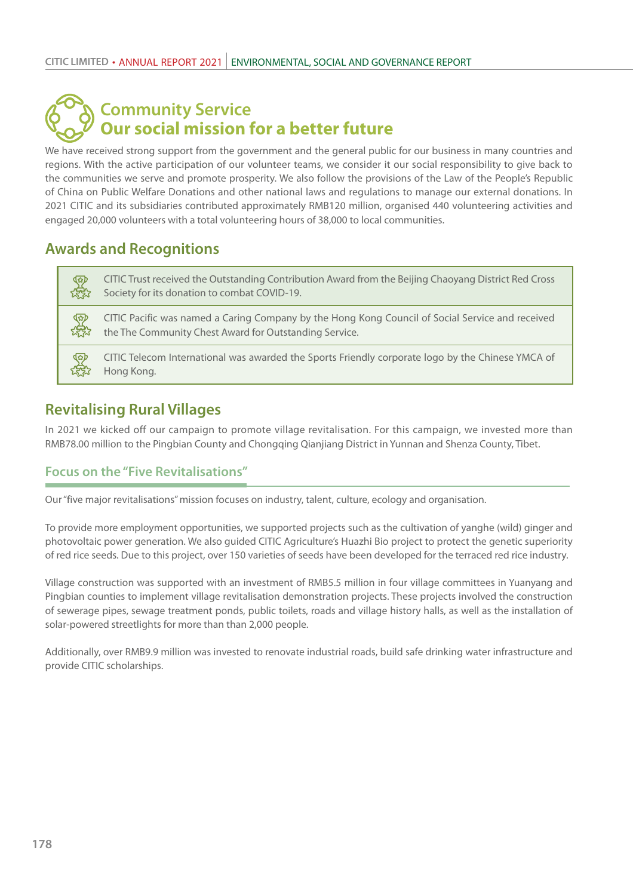# **Community Service Our social mission for a better future**

We have received strong support from the government and the general public for our business in many countries and regions. With the active participation of our volunteer teams, we consider it our social responsibility to give back to the communities we serve and promote prosperity. We also follow the provisions of the Law of the People's Republic of China on Public Welfare Donations and other national laws and regulations to manage our external donations. In 2021 CITIC and its subsidiaries contributed approximately RMB120 million, organised 440 volunteering activities and engaged 20,000 volunteers with a total volunteering hours of 38,000 to local communities.

# **Awards and Recognitions**

CITIC Trust received the Outstanding Contribution Award from the Beijing Chaoyang District Red Cross ক্রেচ Society for its donation to combat COVID-19.

CITIC Pacific was named a Caring Company by the Hong Kong Council of Social Service and received the The Community Chest Award for Outstanding Service.

CITIC Telecom International was awarded the Sports Friendly corporate logo by the Chinese YMCA of Hong Kong.

# **Revitalising Rural Villages**

In 2021 we kicked off our campaign to promote village revitalisation. For this campaign, we invested more than RMB78.00 million to the Pingbian County and Chongqing Qianjiang District in Yunnan and Shenza County, Tibet.

### **Focus on the "Five Revitalisations"**

Our "five major revitalisations" mission focuses on industry, talent, culture, ecology and organisation.

To provide more employment opportunities, we supported projects such as the cultivation of yanghe (wild) ginger and photovoltaic power generation. We also guided CITIC Agriculture's Huazhi Bio project to protect the genetic superiority of red rice seeds. Due to this project, over 150 varieties of seeds have been developed for the terraced red rice industry.

Village construction was supported with an investment of RMB5.5 million in four village committees in Yuanyang and Pingbian counties to implement village revitalisation demonstration projects. These projects involved the construction of sewerage pipes, sewage treatment ponds, public toilets, roads and village history halls, as well as the installation of solar-powered streetlights for more than than 2,000 people.

Additionally, over RMB9.9 million was invested to renovate industrial roads, build safe drinking water infrastructure and provide CITIC scholarships.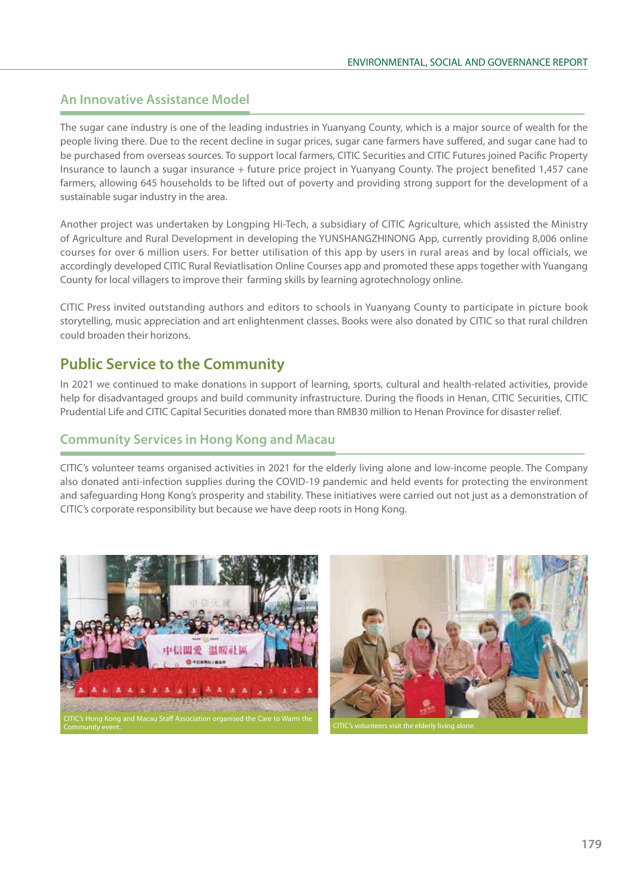### **An Innovative Assistance Model**

The sugar cane industry is one of the leading industries in Yuanyang County, which is a major source of wealth for the people living there. Due to the recent decline in sugar prices, sugar cane farmers have suffered, and sugar cane had to be purchased from overseas sources. To support local farmers, CITIC Securities and CITIC Futures joined Pacific Property Insurance to launch a sugar insurance + future price project in Yuanyang County. The project benefited 1,457 cane farmers, allowing 645 households to be lifted out of poverty and providing strong support for the development of a sustainable sugar industry in the area.

Another project was undertaken by Longping Hi-Tech, a subsidiary of CITIC Agriculture, which assisted the Ministry of Agriculture and Rural Development in developing the YUNSHANGZHINONG App, currently providing 8,006 online courses for over 6 million users. For better utilisation of this app by users in rural areas and by local officials, we accordingly developed CITIC Rural Reviatlisation Online Courses app and promoted these apps together with Yuangang County for local villagers to improve their farming skills by learning agrotechnology online.

CITIC Press invited outstanding authors and editors to schools in Yuanyang County to participate in picture book storytelling, music appreciation and art enlightenment classes. Books were also donated by CITIC so that rural children could broaden their horizons.

# **Public Service to the Community**

In 2021 we continued to make donations in support of learning, sports, cultural and health-related activities, provide help for disadvantaged groups and build community infrastructure. During the floods in Henan, CITIC Securities, CITIC Prudential Life and CITIC Capital Securities donated more than RMB30 million to Henan Province for disaster relief.

### **Community Services in Hong Kong and Macau**

CITIC's volunteer teams organised activities in 2021 for the elderly living alone and low-income people. The Company also donated anti-infection supplies during the COVID-19 pandemic and held events for protecting the environment and safeguarding Hong Kong's prosperity and stability. These initiatives were carried out not just as a demonstration of CITIC's corporate responsibility but because we have deep roots in Hong Kong.



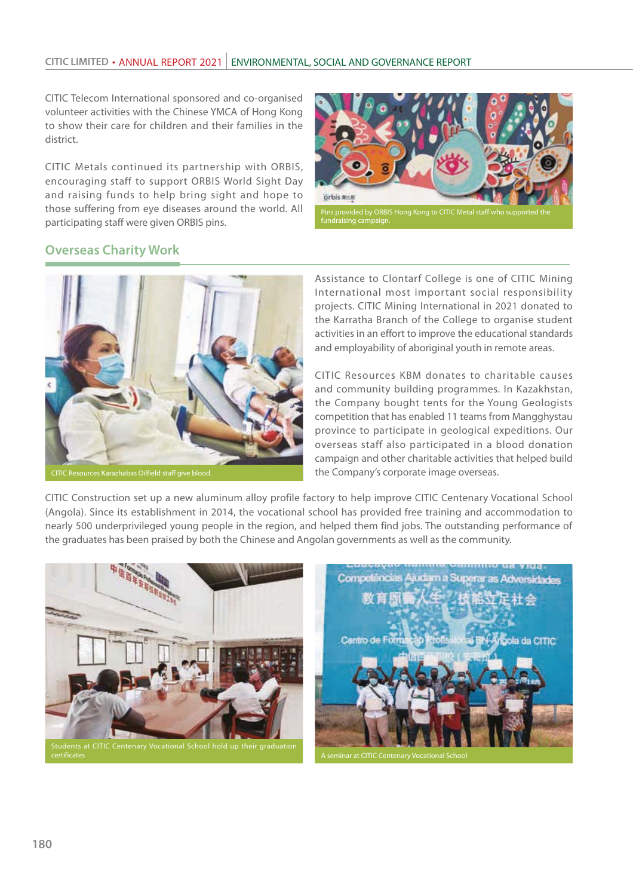#### **CITIC LIMITED** ANNUAL REPORT 2021 ENVIRONMENTAL, SOCIAL AND GOVERNANCE REPORT

CITIC Telecom International sponsored and co-organised volunteer activities with the Chinese YMCA of Hong Kong to show their care for children and their families in the district.

CITIC Metals continued its partnership with ORBIS, encouraging staff to support ORBIS World Sight Day and raising funds to help bring sight and hope to those suffering from eye diseases around the world. All participating staff were given ORBIS pins.



Pins provided by ORBIS Hong Kong to CITIC Metal staff who supported the

### **Overseas Charity Work**



Assistance to Clontarf College is one of CITIC Mining International most important social responsibility projects. CITIC Mining International in 2021 donated to the Karratha Branch of the College to organise student activities in an effort to improve the educational standards and employability of aboriginal youth in remote areas.

CITIC Resources KBM donates to charitable causes and community building programmes. In Kazakhstan, the Company bought tents for the Young Geologists competition that has enabled 11 teams from Mangghystau province to participate in geological expeditions. Our overseas staff also participated in a blood donation campaign and other charitable activities that helped build the Company's corporate image overseas.

CITIC Construction set up a new aluminum alloy profile factory to help improve CITIC Centenary Vocational School (Angola). Since its establishment in 2014, the vocational school has provided free training and accommodation to nearly 500 underprivileged young people in the region, and helped them find jobs. The outstanding performance of the graduates has been praised by both the Chinese and Angolan governments as well as the community.



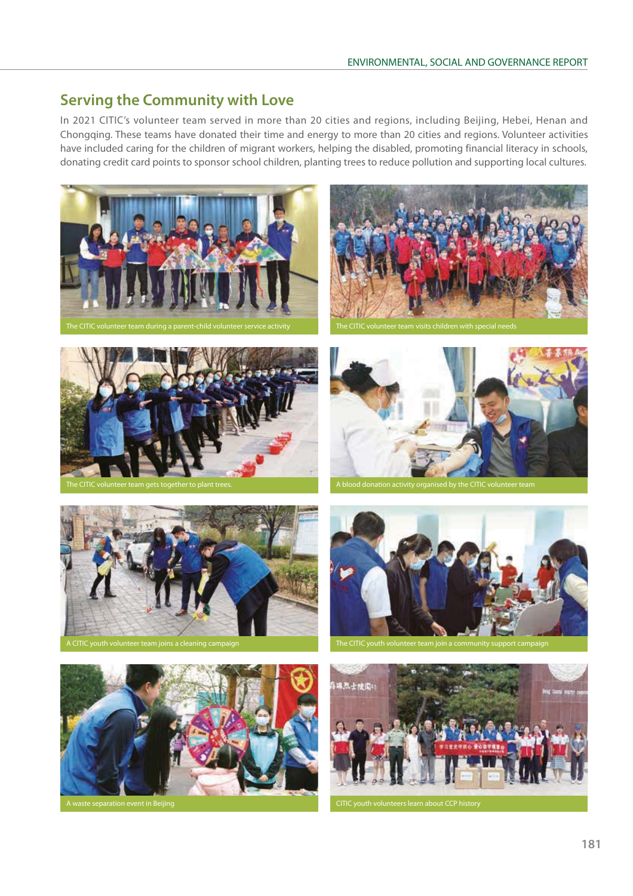# **Serving the Community with Love**

In 2021 CITIC's volunteer team served in more than 20 cities and regions, including Beijing, Hebei, Henan and Chongqing. These teams have donated their time and energy to more than 20 cities and regions. Volunteer activities have included caring for the children of migrant workers, helping the disabled, promoting financial literacy in schools, donating credit card points to sponsor school children, planting trees to reduce pollution and supporting local cultures.



The CITIC volunteer team during a parent-child volunteer service activity The CITIC volunteer team visits children with special needs







**A** activity organised by the CITIC vo



A CITIC youth volunteer team joins a cleaning campaign



aste separation event in Beijing



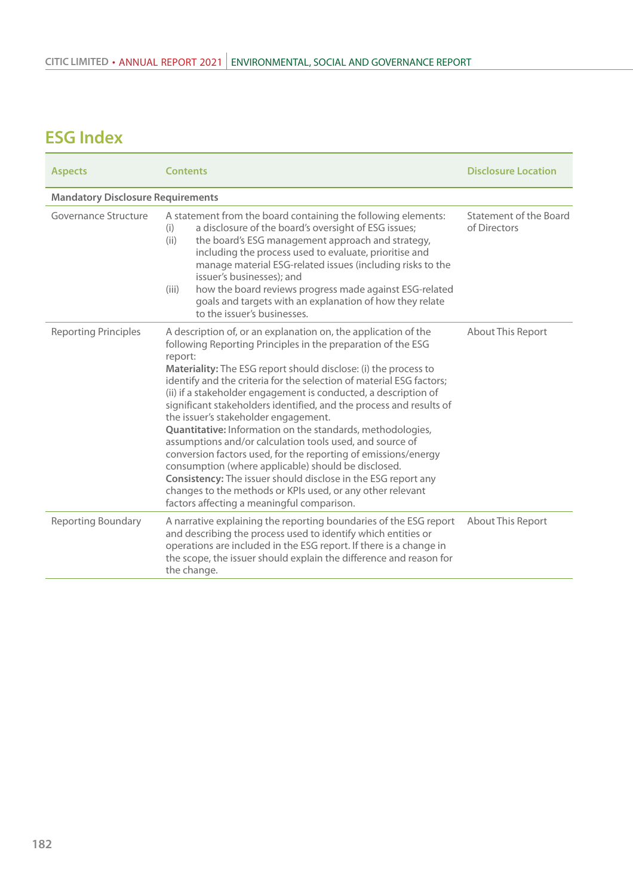# **ESG Index**

| <b>Aspects</b>                           | <b>Contents</b>                                                                                                                                                                                                                                                                                                                                                                                                                                                                                                                                                                                                                                                                                                                                                                                                                                                                                        | <b>Disclosure Location</b>             |
|------------------------------------------|--------------------------------------------------------------------------------------------------------------------------------------------------------------------------------------------------------------------------------------------------------------------------------------------------------------------------------------------------------------------------------------------------------------------------------------------------------------------------------------------------------------------------------------------------------------------------------------------------------------------------------------------------------------------------------------------------------------------------------------------------------------------------------------------------------------------------------------------------------------------------------------------------------|----------------------------------------|
| <b>Mandatory Disclosure Requirements</b> |                                                                                                                                                                                                                                                                                                                                                                                                                                                                                                                                                                                                                                                                                                                                                                                                                                                                                                        |                                        |
| Governance Structure                     | A statement from the board containing the following elements:<br>a disclosure of the board's oversight of ESG issues;<br>(i)<br>the board's ESG management approach and strategy,<br>(ii)<br>including the process used to evaluate, prioritise and<br>manage material ESG-related issues (including risks to the<br>issuer's businesses); and<br>how the board reviews progress made against ESG-related<br>(iii)<br>goals and targets with an explanation of how they relate<br>to the issuer's businesses.                                                                                                                                                                                                                                                                                                                                                                                          | Statement of the Board<br>of Directors |
| <b>Reporting Principles</b>              | A description of, or an explanation on, the application of the<br>following Reporting Principles in the preparation of the ESG<br>report:<br>Materiality: The ESG report should disclose: (i) the process to<br>identify and the criteria for the selection of material ESG factors;<br>(ii) if a stakeholder engagement is conducted, a description of<br>significant stakeholders identified, and the process and results of<br>the issuer's stakeholder engagement.<br>Quantitative: Information on the standards, methodologies,<br>assumptions and/or calculation tools used, and source of<br>conversion factors used, for the reporting of emissions/energy<br>consumption (where applicable) should be disclosed.<br>Consistency: The issuer should disclose in the ESG report any<br>changes to the methods or KPIs used, or any other relevant<br>factors affecting a meaningful comparison. | About This Report                      |
| <b>Reporting Boundary</b>                | A narrative explaining the reporting boundaries of the ESG report<br>and describing the process used to identify which entities or<br>operations are included in the ESG report. If there is a change in<br>the scope, the issuer should explain the difference and reason for<br>the change.                                                                                                                                                                                                                                                                                                                                                                                                                                                                                                                                                                                                          | About This Report                      |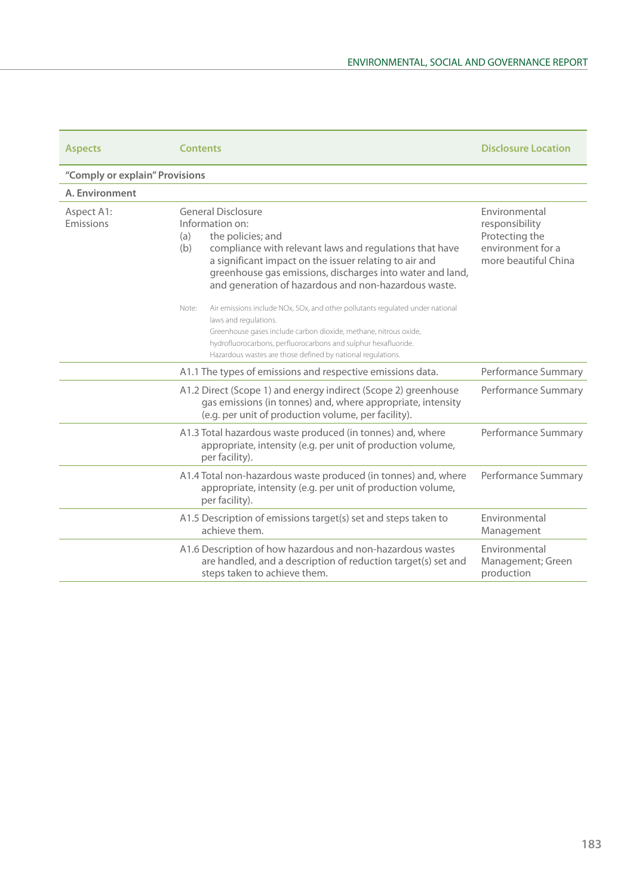| <b>Aspects</b>                 | <b>Contents</b>                                                                                                                                                                                                                                                                                                           | <b>Disclosure Location</b>                                                                     |
|--------------------------------|---------------------------------------------------------------------------------------------------------------------------------------------------------------------------------------------------------------------------------------------------------------------------------------------------------------------------|------------------------------------------------------------------------------------------------|
| "Comply or explain" Provisions |                                                                                                                                                                                                                                                                                                                           |                                                                                                |
| A. Environment                 |                                                                                                                                                                                                                                                                                                                           |                                                                                                |
| Aspect A1:<br>Emissions        | <b>General Disclosure</b><br>Information on:<br>the policies; and<br>(a)<br>(b)<br>compliance with relevant laws and regulations that have<br>a significant impact on the issuer relating to air and<br>greenhouse gas emissions, discharges into water and land,<br>and generation of hazardous and non-hazardous waste. | Environmental<br>responsibility<br>Protecting the<br>environment for a<br>more beautiful China |
|                                | Air emissions include NOx, SOx, and other pollutants regulated under national<br>Note:<br>laws and regulations.<br>Greenhouse gases include carbon dioxide, methane, nitrous oxide,<br>hydrofluorocarbons, perfluorocarbons and sulphur hexafluoride.<br>Hazardous wastes are those defined by national regulations.      |                                                                                                |
|                                | A1.1 The types of emissions and respective emissions data.                                                                                                                                                                                                                                                                | Performance Summary                                                                            |
|                                | A1.2 Direct (Scope 1) and energy indirect (Scope 2) greenhouse<br>gas emissions (in tonnes) and, where appropriate, intensity<br>(e.g. per unit of production volume, per facility).                                                                                                                                      | Performance Summary                                                                            |
|                                | A1.3 Total hazardous waste produced (in tonnes) and, where<br>appropriate, intensity (e.g. per unit of production volume,<br>per facility).                                                                                                                                                                               | Performance Summary                                                                            |
|                                | A1.4 Total non-hazardous waste produced (in tonnes) and, where<br>appropriate, intensity (e.g. per unit of production volume,<br>per facility).                                                                                                                                                                           | Performance Summary                                                                            |
|                                | A1.5 Description of emissions target(s) set and steps taken to<br>achieve them.                                                                                                                                                                                                                                           | Environmental<br>Management                                                                    |
|                                | A1.6 Description of how hazardous and non-hazardous wastes<br>are handled, and a description of reduction target(s) set and<br>steps taken to achieve them.                                                                                                                                                               | Environmental<br>Management; Green<br>production                                               |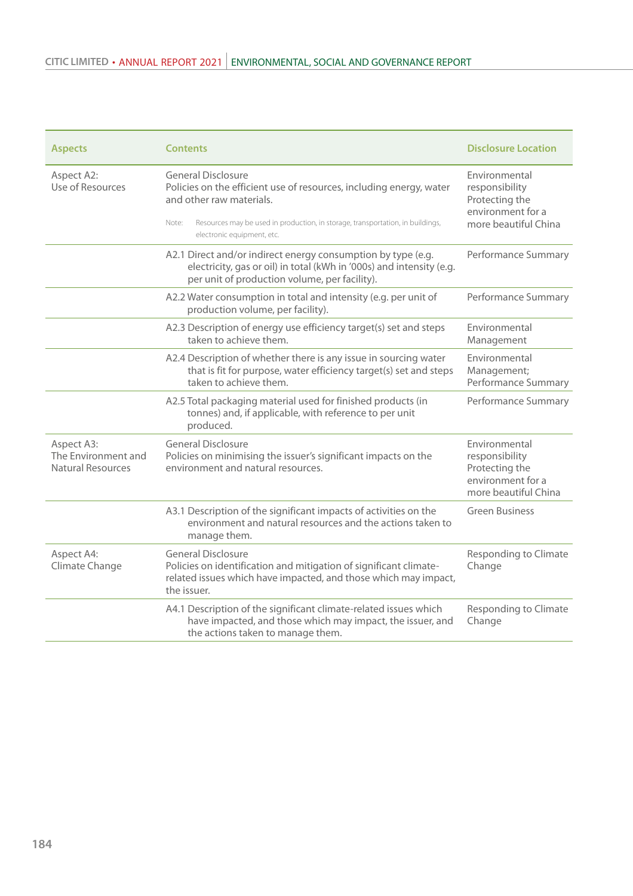| <b>Aspects</b>                                         | <b>Contents</b>                                                                                                                                                                                                                                       | <b>Disclosure Location</b>                                                                     |
|--------------------------------------------------------|-------------------------------------------------------------------------------------------------------------------------------------------------------------------------------------------------------------------------------------------------------|------------------------------------------------------------------------------------------------|
| Aspect A2:<br>Use of Resources                         | <b>General Disclosure</b><br>Policies on the efficient use of resources, including energy, water<br>and other raw materials.<br>Resources may be used in production, in storage, transportation, in buildings,<br>Note:<br>electronic equipment, etc. | Environmental<br>responsibility<br>Protecting the<br>environment for a<br>more beautiful China |
|                                                        | A2.1 Direct and/or indirect energy consumption by type (e.g.<br>electricity, gas or oil) in total (kWh in '000s) and intensity (e.g.<br>per unit of production volume, per facility).                                                                 | Performance Summary                                                                            |
|                                                        | A2.2 Water consumption in total and intensity (e.g. per unit of<br>production volume, per facility).                                                                                                                                                  | Performance Summary                                                                            |
|                                                        | A2.3 Description of energy use efficiency target(s) set and steps<br>taken to achieve them.                                                                                                                                                           | Environmental<br>Management                                                                    |
|                                                        | A2.4 Description of whether there is any issue in sourcing water<br>that is fit for purpose, water efficiency target(s) set and steps<br>taken to achieve them.                                                                                       | Environmental<br>Management;<br>Performance Summary                                            |
|                                                        | A2.5 Total packaging material used for finished products (in<br>tonnes) and, if applicable, with reference to per unit<br>produced.                                                                                                                   | Performance Summary                                                                            |
| Aspect A3:<br>The Environment and<br>Natural Resources | <b>General Disclosure</b><br>Policies on minimising the issuer's significant impacts on the<br>environment and natural resources.                                                                                                                     | Environmental<br>responsibility<br>Protecting the<br>environment for a<br>more beautiful China |
|                                                        | A3.1 Description of the significant impacts of activities on the<br>environment and natural resources and the actions taken to<br>manage them.                                                                                                        | <b>Green Business</b>                                                                          |
| Aspect A4:<br>Climate Change                           | <b>General Disclosure</b><br>Policies on identification and mitigation of significant climate-<br>related issues which have impacted, and those which may impact,<br>the issuer.                                                                      | Responding to Climate<br>Change                                                                |
|                                                        | A4.1 Description of the significant climate-related issues which<br>have impacted, and those which may impact, the issuer, and<br>the actions taken to manage them.                                                                                   | Responding to Climate<br>Change                                                                |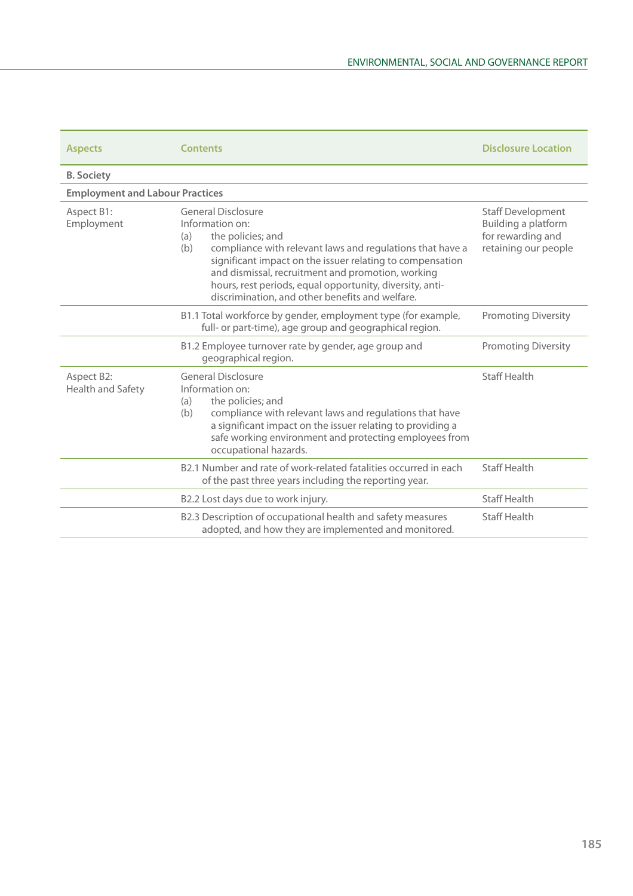| <b>Aspects</b>                         | <b>Contents</b>                                                                                                                                                                                                                                                                                                                                                               | <b>Disclosure Location</b>                                                                   |  |  |
|----------------------------------------|-------------------------------------------------------------------------------------------------------------------------------------------------------------------------------------------------------------------------------------------------------------------------------------------------------------------------------------------------------------------------------|----------------------------------------------------------------------------------------------|--|--|
| <b>B.</b> Society                      |                                                                                                                                                                                                                                                                                                                                                                               |                                                                                              |  |  |
| <b>Employment and Labour Practices</b> |                                                                                                                                                                                                                                                                                                                                                                               |                                                                                              |  |  |
| Aspect B1:<br>Employment               | <b>General Disclosure</b><br>Information on:<br>the policies; and<br>(a)<br>compliance with relevant laws and regulations that have a<br>(b)<br>significant impact on the issuer relating to compensation<br>and dismissal, recruitment and promotion, working<br>hours, rest periods, equal opportunity, diversity, anti-<br>discrimination, and other benefits and welfare. | <b>Staff Development</b><br>Building a platform<br>for rewarding and<br>retaining our people |  |  |
|                                        | B1.1 Total workforce by gender, employment type (for example,<br>full- or part-time), age group and geographical region.                                                                                                                                                                                                                                                      | <b>Promoting Diversity</b>                                                                   |  |  |
|                                        | B1.2 Employee turnover rate by gender, age group and<br>geographical region.                                                                                                                                                                                                                                                                                                  | <b>Promoting Diversity</b>                                                                   |  |  |
| Aspect B2:<br>Health and Safety        | General Disclosure<br>Information on:<br>the policies; and<br>(a)<br>compliance with relevant laws and regulations that have<br>(b)<br>a significant impact on the issuer relating to providing a<br>safe working environment and protecting employees from<br>occupational hazards.                                                                                          | <b>Staff Health</b>                                                                          |  |  |
|                                        | B <sub>2.1</sub> Number and rate of work-related fatalities occurred in each<br>of the past three years including the reporting year.                                                                                                                                                                                                                                         | <b>Staff Health</b>                                                                          |  |  |
|                                        | B2.2 Lost days due to work injury.                                                                                                                                                                                                                                                                                                                                            | <b>Staff Health</b>                                                                          |  |  |
|                                        | B2.3 Description of occupational health and safety measures<br>adopted, and how they are implemented and monitored.                                                                                                                                                                                                                                                           | <b>Staff Health</b>                                                                          |  |  |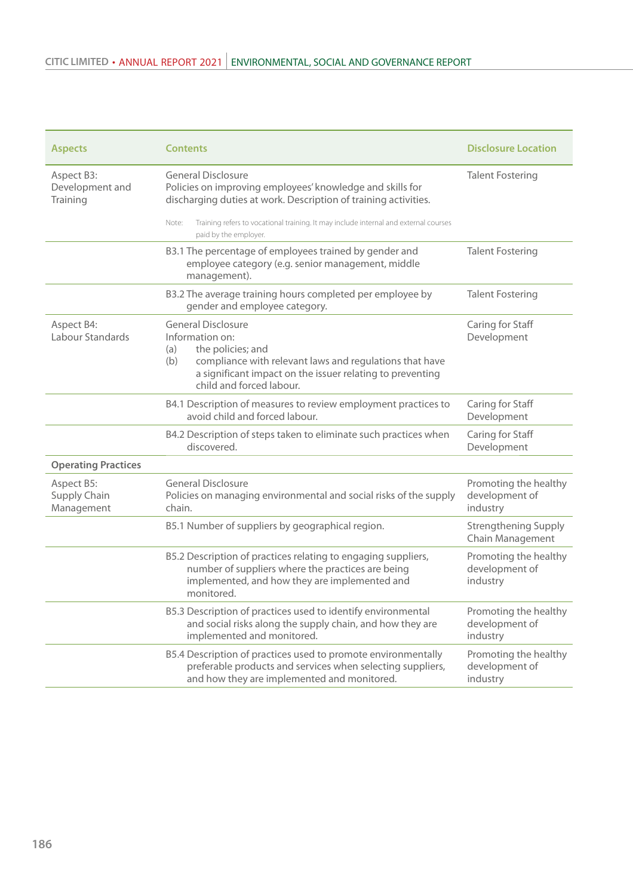| <b>Aspects</b>                            | <b>Contents</b>                                                                                                                                                                                                                     | <b>Disclosure Location</b>                          |
|-------------------------------------------|-------------------------------------------------------------------------------------------------------------------------------------------------------------------------------------------------------------------------------------|-----------------------------------------------------|
| Aspect B3:<br>Development and<br>Training | <b>General Disclosure</b><br>Policies on improving employees' knowledge and skills for<br>discharging duties at work. Description of training activities.                                                                           | <b>Talent Fostering</b>                             |
|                                           | Training refers to vocational training. It may include internal and external courses<br>Note:<br>paid by the employer.                                                                                                              |                                                     |
|                                           | B3.1 The percentage of employees trained by gender and<br>employee category (e.g. senior management, middle<br>management).                                                                                                         | <b>Talent Fostering</b>                             |
|                                           | B3.2 The average training hours completed per employee by<br>gender and employee category.                                                                                                                                          | <b>Talent Fostering</b>                             |
| Aspect B4:<br>Labour Standards            | <b>General Disclosure</b><br>Information on:<br>the policies; and<br>(a)<br>compliance with relevant laws and regulations that have<br>(b)<br>a significant impact on the issuer relating to preventing<br>child and forced labour. | Caring for Staff<br>Development                     |
|                                           | B4.1 Description of measures to review employment practices to<br>avoid child and forced labour.                                                                                                                                    | Caring for Staff<br>Development                     |
|                                           | B4.2 Description of steps taken to eliminate such practices when<br>discovered.                                                                                                                                                     | Caring for Staff<br>Development                     |
| <b>Operating Practices</b>                |                                                                                                                                                                                                                                     |                                                     |
| Aspect B5:<br>Supply Chain<br>Management  | <b>General Disclosure</b><br>Policies on managing environmental and social risks of the supply<br>chain.                                                                                                                            | Promoting the healthy<br>development of<br>industry |
|                                           | B5.1 Number of suppliers by geographical region.                                                                                                                                                                                    | <b>Strengthening Supply</b><br>Chain Management     |
|                                           | B5.2 Description of practices relating to engaging suppliers,<br>number of suppliers where the practices are being<br>implemented, and how they are implemented and<br>monitored.                                                   | Promoting the healthy<br>development of<br>industry |
|                                           | B5.3 Description of practices used to identify environmental<br>and social risks along the supply chain, and how they are<br>implemented and monitored.                                                                             | Promoting the healthy<br>development of<br>industry |
|                                           | B5.4 Description of practices used to promote environmentally<br>preferable products and services when selecting suppliers,<br>and how they are implemented and monitored.                                                          | Promoting the healthy<br>development of<br>industry |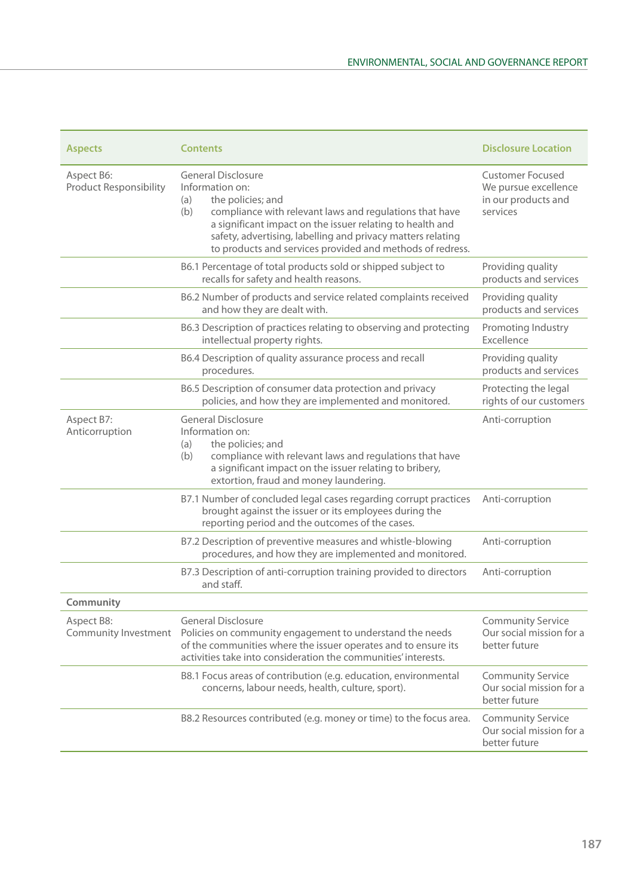| <b>Aspects</b>                              | <b>Contents</b>                                                                                                                                                                                                                                                                                                                     | <b>Disclosure Location</b>                                                  |
|---------------------------------------------|-------------------------------------------------------------------------------------------------------------------------------------------------------------------------------------------------------------------------------------------------------------------------------------------------------------------------------------|-----------------------------------------------------------------------------|
| Aspect B6:<br><b>Product Responsibility</b> | <b>General Disclosure</b><br>Information on:<br>the policies; and<br>(a)<br>compliance with relevant laws and regulations that have<br>(b)<br>a significant impact on the issuer relating to health and<br>safety, advertising, labelling and privacy matters relating<br>to products and services provided and methods of redress. | Customer Focused<br>We pursue excellence<br>in our products and<br>services |
|                                             | B6.1 Percentage of total products sold or shipped subject to<br>recalls for safety and health reasons.                                                                                                                                                                                                                              | Providing quality<br>products and services                                  |
|                                             | B6.2 Number of products and service related complaints received<br>and how they are dealt with.                                                                                                                                                                                                                                     | Providing quality<br>products and services                                  |
|                                             | B6.3 Description of practices relating to observing and protecting<br>intellectual property rights.                                                                                                                                                                                                                                 | Promoting Industry<br><b>Excellence</b>                                     |
|                                             | B6.4 Description of quality assurance process and recall<br>procedures.                                                                                                                                                                                                                                                             | Providing quality<br>products and services                                  |
|                                             | B6.5 Description of consumer data protection and privacy<br>policies, and how they are implemented and monitored.                                                                                                                                                                                                                   | Protecting the legal<br>rights of our customers                             |
| Aspect B7:<br>Anticorruption                | <b>General Disclosure</b><br>Information on:<br>the policies; and<br>(a)<br>compliance with relevant laws and regulations that have<br>(b)<br>a significant impact on the issuer relating to bribery,<br>extortion, fraud and money laundering.                                                                                     | Anti-corruption                                                             |
|                                             | B7.1 Number of concluded legal cases regarding corrupt practices<br>brought against the issuer or its employees during the<br>reporting period and the outcomes of the cases.                                                                                                                                                       | Anti-corruption                                                             |
|                                             | B7.2 Description of preventive measures and whistle-blowing<br>procedures, and how they are implemented and monitored.                                                                                                                                                                                                              | Anti-corruption                                                             |
|                                             | B7.3 Description of anti-corruption training provided to directors<br>and staff.                                                                                                                                                                                                                                                    | Anti-corruption                                                             |
| Community                                   |                                                                                                                                                                                                                                                                                                                                     |                                                                             |
| Aspect B8:                                  | <b>General Disclosure</b><br>Community Investment  Policies on community engagement to understand the needs<br>of the communities where the issuer operates and to ensure its<br>activities take into consideration the communities' interests.                                                                                     | <b>Community Service</b><br>Our social mission for a<br>better future       |
|                                             | B8.1 Focus areas of contribution (e.g. education, environmental<br>concerns, labour needs, health, culture, sport).                                                                                                                                                                                                                 | <b>Community Service</b><br>Our social mission for a<br>better future       |
|                                             | B8.2 Resources contributed (e.g. money or time) to the focus area.                                                                                                                                                                                                                                                                  | <b>Community Service</b><br>Our social mission for a<br>better future       |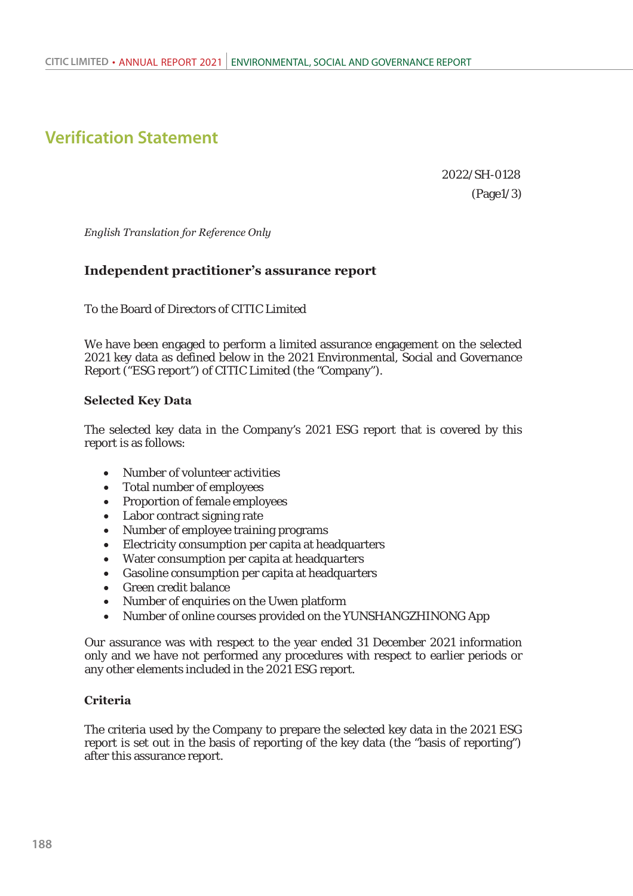# **Verification Statement**

2022/SH-0128 (Page1/3)

*English Translation for Reference Only* 

### **Independent practitioner's assurance report**

To the Board of Directors of CITIC Limited

We have been engaged to perform a limited assurance engagement on the selected 2021 key data as defined below in the 2021 Environmental, Social and Governance Report ("ESG report") of CITIC Limited (the "Company").

### **Selected Key Data**

The selected key data in the Company's 2021 ESG report that is covered by this report is as follows:

- Number of volunteer activities
- Total number of employees
- Proportion of female employees
- Labor contract signing rate
- Number of employee training programs
- **Electricity consumption per capita at headquarters**
- Water consumption per capita at headquarters
- Gasoline consumption per capita at headquarters
- Green credit balance
- Number of enquiries on the Uwen platform
- Number of online courses provided on the YUNSHANGZHINONG App

Our assurance was with respect to the year ended 31 December 2021 information only and we have not performed any procedures with respect to earlier periods or any other elements included in the 2021 ESG report.

### **Criteria**

The criteria used by the Company to prepare the selected key data in the 2021 ESG report is set out in the basis of reporting of the key data (the "basis of reporting") after this assurance report.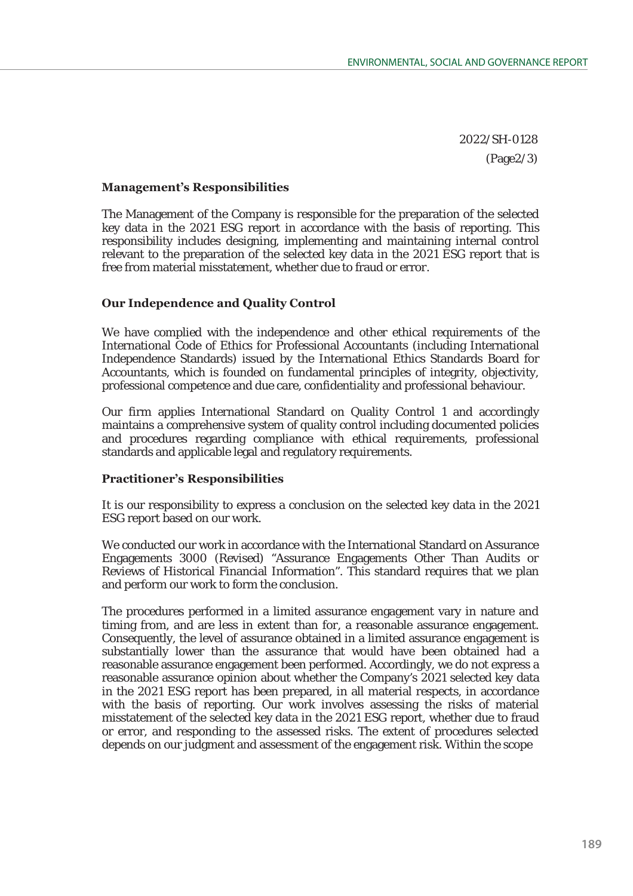2022/SH-0128 (Page2/3)

### **Management's Responsibilities**

The Management of the Company is responsible for the preparation of the selected key data in the 2021 ESG report in accordance with the basis of reporting. This responsibility includes designing, implementing and maintaining internal control relevant to the preparation of the selected key data in the 2021 ESG report that is free from material misstatement, whether due to fraud or error.

### **2DU Landau Entry Control Ouality Control**

We have complied with the independence and other ethical requirements of the International Code of Ethics for Professional Accountants (including International Independence Standards) issued by the International Ethics Standards Board for Accountants, which is founded on fundamental principles of integrity, objectivity, professional competence and due care, confidentiality and professional behaviour.

Our firm applies International Standard on Quality Control 1 and accordingly maintains a comprehensive system of quality control including documented policies and procedures regarding compliance with ethical requirements, professional standards and applicable legal and regulatory requirements.

### **Practitioner's Responsibilities**

It is our responsibility to express a conclusion on the selected key data in the 2021 ESG report based on our work.

We conducted our work in accordance with the International Standard on Assurance Engagements 3000 (Revised) "Assurance Engagements Other Than Audits or Reviews of Historical Financial Information". This standard requires that we plan and perform our work to form the conclusion.

The procedures performed in a limited assurance engagement vary in nature and timing from, and are less in extent than for, a reasonable assurance engagement. Consequently, the level of assurance obtained in a limited assurance engagement is substantially lower than the assurance that would have been obtained had a reasonable assurance engagement been performed. Accordingly, we do not express a reasonable assurance opinion about whether the Company's 2021 selected key data in the 2021 ESG report has been prepared, in all material respects, in accordance with the basis of reporting. Our work involves assessing the risks of material misstatement of the selected key data in the 2021 ESG report, whether due to fraud or error, and responding to the assessed risks. The extent of procedures selected depends on our judgment and assessment of the engagement risk. Within the scope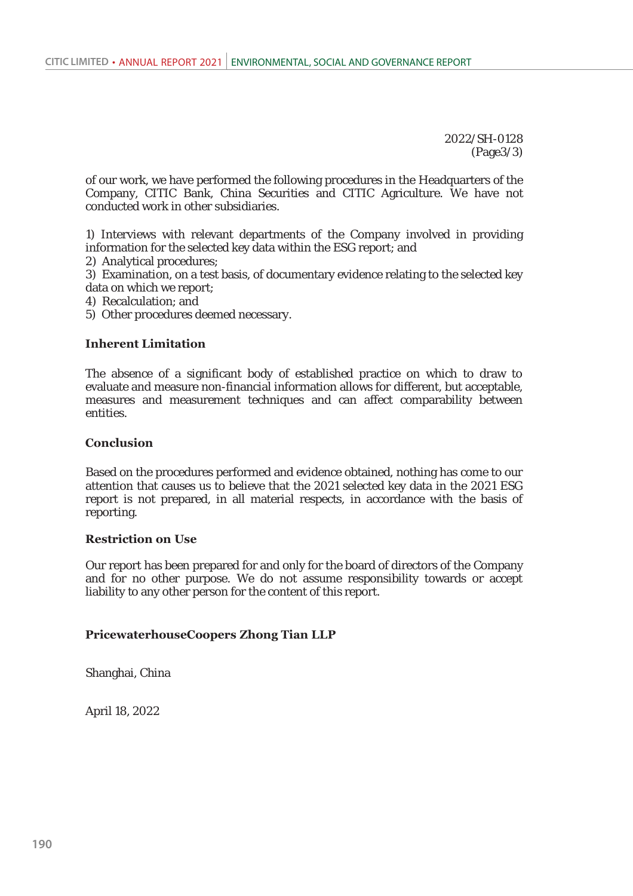2022/SH-0128 (Page3/3)

of our work, we have performed the following procedures in the Headquarters of the Company, CITIC Bank, China Securities and CITIC Agriculture. We have not conducted work in other subsidiaries.

1) Interviews with relevant departments of the Company involved in providing information for the selected key data within the ESG report; and

2) Analytical procedures;

3) Examination, on a test basis, of documentary evidence relating to the selected key data on which we report;

4) Recalculation; and

5) Other procedures deemed necessary.

### **Inherent Limitation**

The absence of a significant body of established practice on which to draw to evaluate and measure non-financial information allows for different, but acceptable, measures and measurement techniques and can affect comparability between entities.

#### **Conclusion**

Based on the procedures performed and evidence obtained, nothing has come to our attention that causes us to believe that the 2021 selected key data in the 2021 ESG report is not prepared, in all material respects, in accordance with the basis of reporting.

### **Restriction on Use**

Our report has been prepared for and only for the board of directors of the Company and for no other purpose. We do not assume responsibility towards or accept liability to any other person for the content of this report.

### **PricewaterhouseCoopers Zhong Tian LLP**

Shanghai, China

April 18, 2022